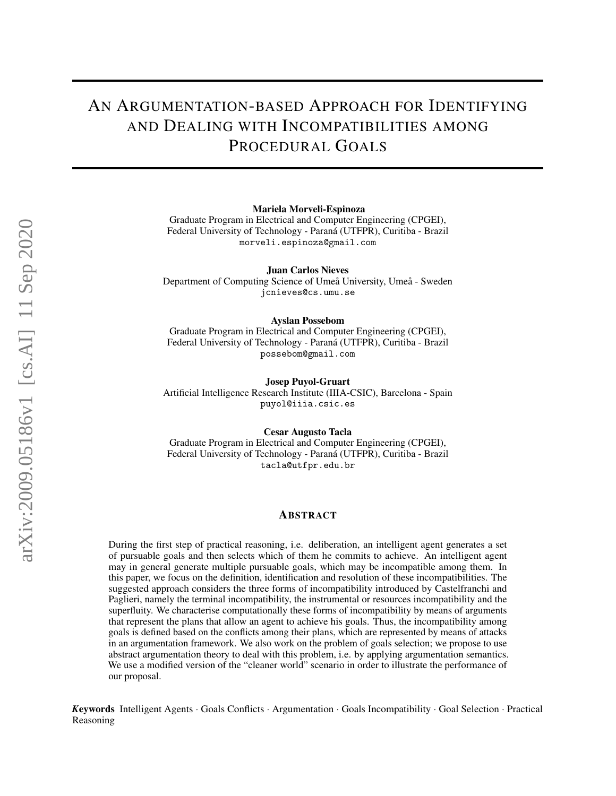# AN ARGUMENTATION-BASED APPROACH FOR IDENTIFYING AND DEALING WITH INCOMPATIBILITIES AMONG PROCEDURAL GOALS

Mariela Morveli-Espinoza

Graduate Program in Electrical and Computer Engineering (CPGEI), Federal University of Technology - Paraná (UTFPR), Curitiba - Brazil morveli.espinoza@gmail.com

Juan Carlos Nieves

Department of Computing Science of Umeå University, Umeå - Sweden jcnieves@cs.umu.se

#### Ayslan Possebom

Graduate Program in Electrical and Computer Engineering (CPGEI), Federal University of Technology - Paraná (UTFPR), Curitiba - Brazil possebom@gmail.com

#### Josep Puyol-Gruart

Artificial Intelligence Research Institute (IIIA-CSIC), Barcelona - Spain puyol@iiia.csic.es

#### Cesar Augusto Tacla

Graduate Program in Electrical and Computer Engineering (CPGEI), Federal University of Technology - Paraná (UTFPR), Curitiba - Brazil tacla@utfpr.edu.br

## ABSTRACT

During the first step of practical reasoning, i.e. deliberation, an intelligent agent generates a set of pursuable goals and then selects which of them he commits to achieve. An intelligent agent may in general generate multiple pursuable goals, which may be incompatible among them. In this paper, we focus on the definition, identification and resolution of these incompatibilities. The suggested approach considers the three forms of incompatibility introduced by Castelfranchi and Paglieri, namely the terminal incompatibility, the instrumental or resources incompatibility and the superfluity. We characterise computationally these forms of incompatibility by means of arguments that represent the plans that allow an agent to achieve his goals. Thus, the incompatibility among goals is defined based on the conflicts among their plans, which are represented by means of attacks in an argumentation framework. We also work on the problem of goals selection; we propose to use abstract argumentation theory to deal with this problem, i.e. by applying argumentation semantics. We use a modified version of the "cleaner world" scenario in order to illustrate the performance of our proposal.

*K*eywords Intelligent Agents · Goals Conflicts · Argumentation · Goals Incompatibility · Goal Selection · Practical Reasoning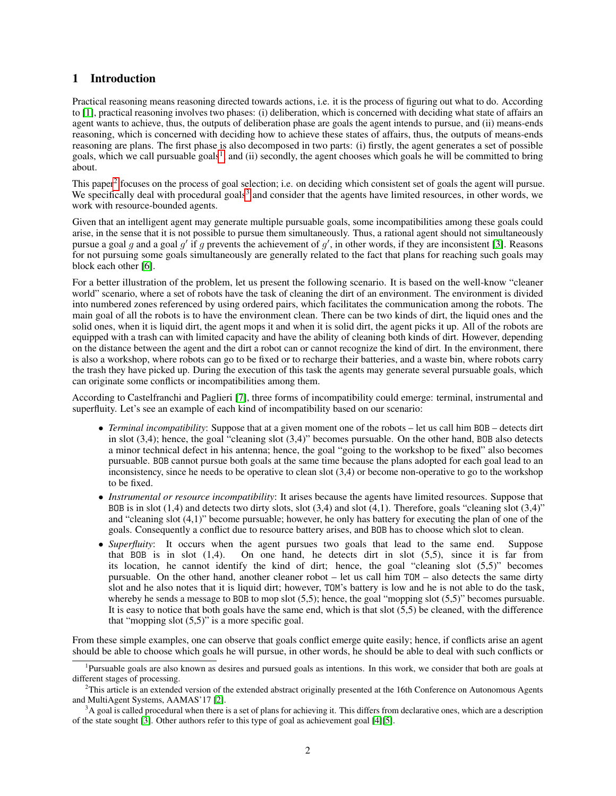# 1 Introduction

Practical reasoning means reasoning directed towards actions, i.e. it is the process of figuring out what to do. According to [\[1\]](#page-28-0), practical reasoning involves two phases: (i) deliberation, which is concerned with deciding what state of affairs an agent wants to achieve, thus, the outputs of deliberation phase are goals the agent intends to pursue, and (ii) means-ends reasoning, which is concerned with deciding how to achieve these states of affairs, thus, the outputs of means-ends reasoning are plans. The first phase is also decomposed in two parts: (i) firstly, the agent generates a set of possible goals, which we call pursuable goals<sup>[1](#page-1-0)</sup>, and (ii) secondly, the agent chooses which goals he will be committed to bring about.

This paper<sup>[2](#page-1-1)</sup> focuses on the process of goal selection; i.e. on deciding which consistent set of goals the agent will pursue. We specifically deal with procedural goals<sup>[3](#page-1-2)</sup> and consider that the agents have limited resources, in other words, we work with resource-bounded agents.

Given that an intelligent agent may generate multiple pursuable goals, some incompatibilities among these goals could arise, in the sense that it is not possible to pursue them simultaneously. Thus, a rational agent should not simultaneously pursue a goal g and a goal g' if g prevents the achievement of g', in other words, if they are inconsistent [\[3\]](#page-28-1). Reasons for not pursuing some goals simultaneously are generally related to the fact that plans for reaching such goals may block each other [\[6\]](#page-28-2).

For a better illustration of the problem, let us present the following scenario. It is based on the well-know "cleaner world" scenario, where a set of robots have the task of cleaning the dirt of an environment. The environment is divided into numbered zones referenced by using ordered pairs, which facilitates the communication among the robots. The main goal of all the robots is to have the environment clean. There can be two kinds of dirt, the liquid ones and the solid ones, when it is liquid dirt, the agent mops it and when it is solid dirt, the agent picks it up. All of the robots are equipped with a trash can with limited capacity and have the ability of cleaning both kinds of dirt. However, depending on the distance between the agent and the dirt a robot can or cannot recognize the kind of dirt. In the environment, there is also a workshop, where robots can go to be fixed or to recharge their batteries, and a waste bin, where robots carry the trash they have picked up. During the execution of this task the agents may generate several pursuable goals, which can originate some conflicts or incompatibilities among them.

According to Castelfranchi and Paglieri [\[7\]](#page-28-3), three forms of incompatibility could emerge: terminal, instrumental and superfluity. Let's see an example of each kind of incompatibility based on our scenario:

- *Terminal incompatibility*: Suppose that at a given moment one of the robots let us call him BOB detects dirt in slot (3,4); hence, the goal "cleaning slot (3,4)" becomes pursuable. On the other hand, BOB also detects a minor technical defect in his antenna; hence, the goal "going to the workshop to be fixed" also becomes pursuable. BOB cannot pursue both goals at the same time because the plans adopted for each goal lead to an inconsistency, since he needs to be operative to clean slot (3,4) or become non-operative to go to the workshop to be fixed.
- *Instrumental or resource incompatibility*: It arises because the agents have limited resources. Suppose that BOB is in slot  $(1,4)$  and detects two dirty slots, slot  $(3,4)$  and slot  $(4,1)$ . Therefore, goals "cleaning slot  $(3,4)$ " and "cleaning slot (4,1)" become pursuable; however, he only has battery for executing the plan of one of the goals. Consequently a conflict due to resource battery arises, and BOB has to choose which slot to clean.
- *Superfluity*: It occurs when the agent pursues two goals that lead to the same end. Suppose that BOB is in slot (1,4). On one hand, he detects dirt in slot (5,5), since it is far from its location, he cannot identify the kind of dirt; hence, the goal "cleaning slot (5,5)" becomes pursuable. On the other hand, another cleaner robot – let us call him TOM – also detects the same dirty slot and he also notes that it is liquid dirt; however, TOM's battery is low and he is not able to do the task, whereby he sends a message to BOB to mop slot  $(5,5)$ ; hence, the goal "mopping slot  $(5,5)$ " becomes pursuable. It is easy to notice that both goals have the same end, which is that slot (5,5) be cleaned, with the difference that "mopping slot  $(5,5)$ " is a more specific goal.

From these simple examples, one can observe that goals conflict emerge quite easily; hence, if conflicts arise an agent should be able to choose which goals he will pursue, in other words, he should be able to deal with such conflicts or

<span id="page-1-0"></span><sup>1</sup> Pursuable goals are also known as desires and pursued goals as intentions. In this work, we consider that both are goals at different stages of processing.

<span id="page-1-1"></span><sup>&</sup>lt;sup>2</sup>This article is an extended version of the extended abstract originally presented at the 16th Conference on Autonomous Agents and MultiAgent Systems, AAMAS'17 [\[2\]](#page-28-4).

<span id="page-1-2"></span><sup>&</sup>lt;sup>3</sup>A goal is called procedural when there is a set of plans for achieving it. This differs from declarative ones, which are a description of the state sought [\[3\]](#page-28-1). Other authors refer to this type of goal as achievement goal [\[4\]](#page-28-5)[\[5\]](#page-28-6).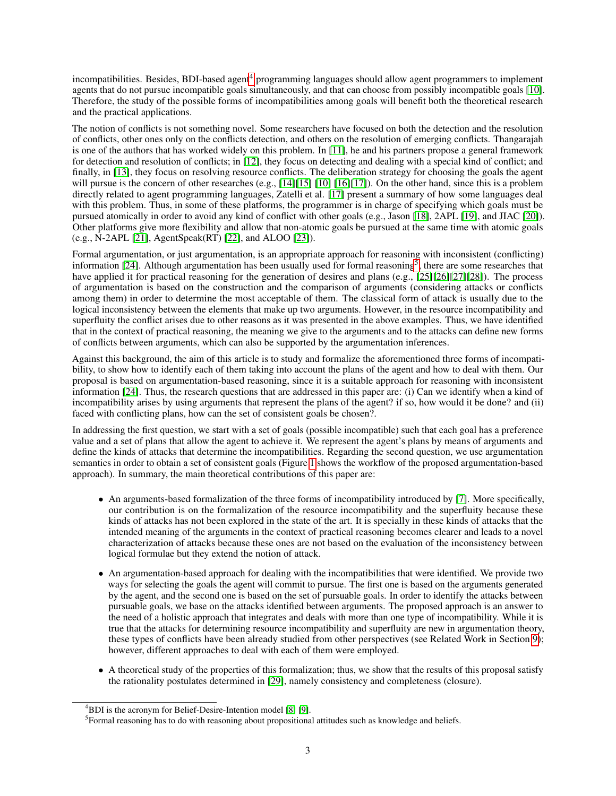incompatibilities. Besides, BDI-based agent<sup>[4](#page-2-0)</sup> programming languages should allow agent programmers to implement agents that do not pursue incompatible goals simultaneously, and that can choose from possibly incompatible goals [\[10\]](#page-28-7). Therefore, the study of the possible forms of incompatibilities among goals will benefit both the theoretical research and the practical applications.

The notion of conflicts is not something novel. Some researchers have focused on both the detection and the resolution of conflicts, other ones only on the conflicts detection, and others on the resolution of emerging conflicts. Thangarajah is one of the authors that has worked widely on this problem. In [\[11\]](#page-28-8), he and his partners propose a general framework for detection and resolution of conflicts; in [\[12\]](#page-28-9), they focus on detecting and dealing with a special kind of conflict; and finally, in [\[13\]](#page-28-10), they focus on resolving resource conflicts. The deliberation strategy for choosing the goals the agent will pursue is the concern of other researches  $(e.g., [14][15][10][17])$  $(e.g., [14][15][10][17])$  $(e.g., [14][15][10][17])$  $(e.g., [14][15][10][17])$  $(e.g., [14][15][10][17])$  $(e.g., [14][15][10][17])$ . On the other hand, since this is a problem directly related to agent programming languages, Zatelli et al. [\[17\]](#page-28-14) present a summary of how some languages deal with this problem. Thus, in some of these platforms, the programmer is in charge of specifying which goals must be pursued atomically in order to avoid any kind of conflict with other goals (e.g., Jason [\[18\]](#page-29-0), 2APL [\[19\]](#page-29-1), and JIAC [\[20\]](#page-29-2)). Other platforms give more flexibility and allow that non-atomic goals be pursued at the same time with atomic goals (e.g., N-2APL [\[21\]](#page-29-3), AgentSpeak(RT) [\[22\]](#page-29-4), and ALOO [\[23\]](#page-29-5)).

Formal argumentation, or just argumentation, is an appropriate approach for reasoning with inconsistent (conflicting) information [\[24\]](#page-29-6). Although argumentation has been usually used for formal reasoning<sup>[5](#page-2-1)</sup>, there are some researches that have applied it for practical reasoning for the generation of desires and plans (e.g., [\[25\]](#page-29-7)[\[26\]](#page-29-8)[\[27\]](#page-29-9)[\[28\]](#page-29-10)). The process of argumentation is based on the construction and the comparison of arguments (considering attacks or conflicts among them) in order to determine the most acceptable of them. The classical form of attack is usually due to the logical inconsistency between the elements that make up two arguments. However, in the resource incompatibility and superfluity the conflict arises due to other reasons as it was presented in the above examples. Thus, we have identified that in the context of practical reasoning, the meaning we give to the arguments and to the attacks can define new forms of conflicts between arguments, which can also be supported by the argumentation inferences.

Against this background, the aim of this article is to study and formalize the aforementioned three forms of incompatibility, to show how to identify each of them taking into account the plans of the agent and how to deal with them. Our proposal is based on argumentation-based reasoning, since it is a suitable approach for reasoning with inconsistent information [\[24\]](#page-29-6). Thus, the research questions that are addressed in this paper are: (i) Can we identify when a kind of incompatibility arises by using arguments that represent the plans of the agent? if so, how would it be done? and (ii) faced with conflicting plans, how can the set of consistent goals be chosen?.

In addressing the first question, we start with a set of goals (possible incompatible) such that each goal has a preference value and a set of plans that allow the agent to achieve it. We represent the agent's plans by means of arguments and define the kinds of attacks that determine the incompatibilities. Regarding the second question, we use argumentation semantics in order to obtain a set of consistent goals (Figure [1](#page-3-0) shows the workflow of the proposed argumentation-based approach). In summary, the main theoretical contributions of this paper are:

- An arguments-based formalization of the three forms of incompatibility introduced by [\[7\]](#page-28-3). More specifically, our contribution is on the formalization of the resource incompatibility and the superfluity because these kinds of attacks has not been explored in the state of the art. It is specially in these kinds of attacks that the intended meaning of the arguments in the context of practical reasoning becomes clearer and leads to a novel characterization of attacks because these ones are not based on the evaluation of the inconsistency between logical formulae but they extend the notion of attack.
- An argumentation-based approach for dealing with the incompatibilities that were identified. We provide two ways for selecting the goals the agent will commit to pursue. The first one is based on the arguments generated by the agent, and the second one is based on the set of pursuable goals. In order to identify the attacks between pursuable goals, we base on the attacks identified between arguments. The proposed approach is an answer to the need of a holistic approach that integrates and deals with more than one type of incompatibility. While it is true that the attacks for determining resource incompatibility and superfluity are new in argumentation theory, these types of conflicts have been already studied from other perspectives (see Related Work in Section [9\)](#page-20-0); however, different approaches to deal with each of them were employed.
- A theoretical study of the properties of this formalization; thus, we show that the results of this proposal satisfy the rationality postulates determined in [\[29\]](#page-29-11), namely consistency and completeness (closure).

<span id="page-2-0"></span><sup>&</sup>lt;sup>4</sup>BDI is the acronym for Belief-Desire-Intention model [\[8\]](#page-28-15) [\[9\]](#page-28-16).

<span id="page-2-1"></span><sup>&</sup>lt;sup>5</sup>Formal reasoning has to do with reasoning about propositional attitudes such as knowledge and beliefs.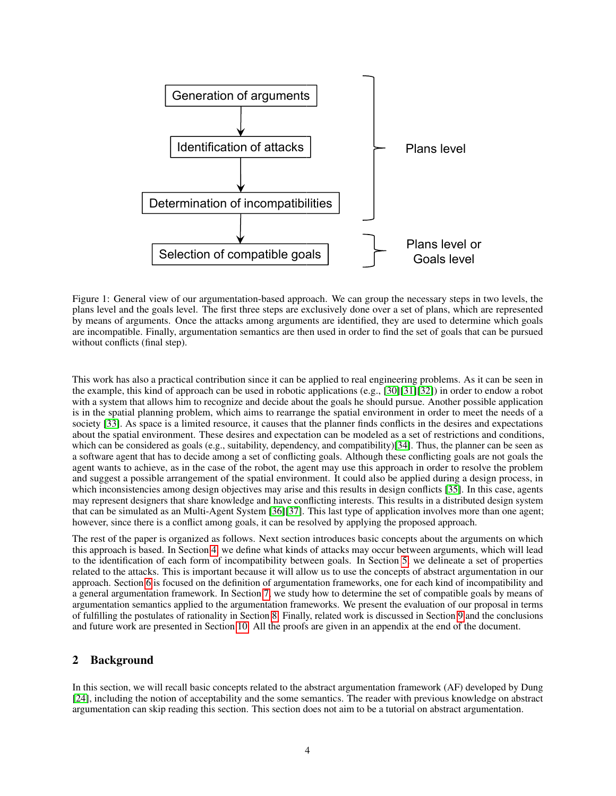<span id="page-3-0"></span>

Figure 1: General view of our argumentation-based approach. We can group the necessary steps in two levels, the plans level and the goals level. The first three steps are exclusively done over a set of plans, which are represented by means of arguments. Once the attacks among arguments are identified, they are used to determine which goals are incompatible. Finally, argumentation semantics are then used in order to find the set of goals that can be pursued without conflicts (final step).

This work has also a practical contribution since it can be applied to real engineering problems. As it can be seen in the example, this kind of approach can be used in robotic applications (e.g., [\[30\]](#page-29-12)[\[31\]](#page-29-13)[\[32\]](#page-29-14)) in order to endow a robot with a system that allows him to recognize and decide about the goals he should pursue. Another possible application is in the spatial planning problem, which aims to rearrange the spatial environment in order to meet the needs of a society [\[33\]](#page-29-15). As space is a limited resource, it causes that the planner finds conflicts in the desires and expectations about the spatial environment. These desires and expectation can be modeled as a set of restrictions and conditions, which can be considered as goals (e.g., suitability, dependency, and compatibility)[\[34\]](#page-29-16). Thus, the planner can be seen as a software agent that has to decide among a set of conflicting goals. Although these conflicting goals are not goals the agent wants to achieve, as in the case of the robot, the agent may use this approach in order to resolve the problem and suggest a possible arrangement of the spatial environment. It could also be applied during a design process, in which inconsistencies among design objectives may arise and this results in design conflicts [\[35\]](#page-29-17). In this case, agents may represent designers that share knowledge and have conflicting interests. This results in a distributed design system that can be simulated as an Multi-Agent System [\[36\]](#page-29-18)[\[37\]](#page-29-19). This last type of application involves more than one agent; however, since there is a conflict among goals, it can be resolved by applying the proposed approach.

The rest of the paper is organized as follows. Next section introduces basic concepts about the arguments on which this approach is based. In Section [4,](#page-7-0) we define what kinds of attacks may occur between arguments, which will lead to the identification of each form of incompatibility between goals. In Section [5,](#page-11-0) we delineate a set of properties related to the attacks. This is important because it will allow us to use the concepts of abstract argumentation in our approach. Section [6](#page-12-0) is focused on the definition of argumentation frameworks, one for each kind of incompatibility and a general argumentation framework. In Section [7,](#page-13-0) we study how to determine the set of compatible goals by means of argumentation semantics applied to the argumentation frameworks. We present the evaluation of our proposal in terms of fulfilling the postulates of rationality in Section [8.](#page-19-0) Finally, related work is discussed in Section [9](#page-20-0) and the conclusions and future work are presented in Section [10.](#page-23-0) All the proofs are given in an appendix at the end of the document.

# 2 Background

In this section, we will recall basic concepts related to the abstract argumentation framework (AF) developed by Dung [\[24\]](#page-29-6), including the notion of acceptability and the some semantics. The reader with previous knowledge on abstract argumentation can skip reading this section. This section does not aim to be a tutorial on abstract argumentation.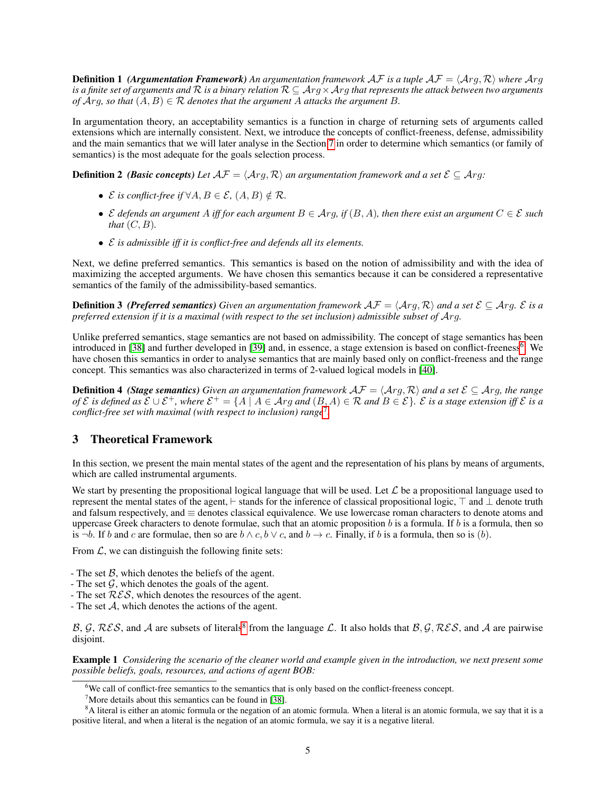**Definition 1** *(Argumentation Framework)* An argumentation framework  $AF$  is a tuple  $AF = \langle Arg, R \rangle$  where  $Arg$ *is a finite set of arguments and* R *is a binary relation* R ⊆ Arg×Arg *that represents the attack between two arguments of*  $\overline{A}ra$ , so that  $(A, B) \in \mathcal{R}$  denotes that the argument A attacks the argument B.

In argumentation theory, an acceptability semantics is a function in charge of returning sets of arguments called extensions which are internally consistent. Next, we introduce the concepts of conflict-freeness, defense, admissibility and the main semantics that we will later analyse in the Section [7](#page-13-0) in order to determine which semantics (or family of semantics) is the most adequate for the goals selection process.

**Definition 2** *(Basic concepts) Let*  $\mathcal{AF} = \langle \mathcal{A}rq, \mathcal{R} \rangle$  *an argumentation framework and a set*  $\mathcal{E} \subseteq \mathcal{A}rq$ :

- $\mathcal E$  *is conflict-free if*  $\forall A, B \in \mathcal E$ ,  $(A, B) \notin \mathcal R$ *.*
- E *defends an argument* A *iff for each argument* B ∈ Arg*, if* (B, A)*, then there exist an argument* C ∈ E *such that* (C, B)*.*
- E *is admissible iff it is conflict-free and defends all its elements.*

Next, we define preferred semantics. This semantics is based on the notion of admissibility and with the idea of maximizing the accepted arguments. We have chosen this semantics because it can be considered a representative semantics of the family of the admissibility-based semantics.

**Definition 3** *(Preferred semantics) Given an argumentation framework*  $\mathcal{AF} = \langle \mathcal{Arg}, \mathcal{R} \rangle$  *and a set*  $\mathcal{E} \subseteq \mathcal{Arg}$ .  $\mathcal{E}$  *is a preferred extension if it is a maximal (with respect to the set inclusion) admissible subset of* Arg*.*

Unlike preferred semantics, stage semantics are not based on admissibility. The concept of stage semantics has been introduced in [\[38\]](#page-29-20) and further developed in [\[39\]](#page-29-21) and, in essence, a stage extension is based on conflict-freeness<sup>[6](#page-4-0)</sup>. We have chosen this semantics in order to analyse semantics that are mainly based only on conflict-freeness and the range concept. This semantics was also characterized in terms of 2-valued logical models in [\[40\]](#page-30-0).

**Definition 4** *(Stage semantics)* Given an argumentation framework  $\mathcal{AF} = \langle \mathcal{A}rq, \mathcal{R} \rangle$  and a set  $\mathcal{E} \subseteq \mathcal{A}rq$ , the range *of*  $E$  *is defined as*  $\mathcal{E} \cup \mathcal{E}^+$ , where  $\mathcal{E}^+ = \{A \mid A \in \mathcal{A}rg \text{ and } (B, A) \in \mathcal{R} \text{ and } B \in \mathcal{E}\}$ .  $\mathcal{E}$  *is a stage extension iff*  $\mathcal{E}$  *is a conflict-free set with maximal (with respect to inclusion) range*[7](#page-4-1) *.*

# <span id="page-4-3"></span>3 Theoretical Framework

In this section, we present the main mental states of the agent and the representation of his plans by means of arguments, which are called instrumental arguments.

We start by presenting the propositional logical language that will be used. Let  $\mathcal L$  be a propositional language used to represent the mental states of the agent,  $\vdash$  stands for the inference of classical propositional logic,  $\top$  and  $\bot$  denote truth and falsum respectively, and  $\equiv$  denotes classical equivalence. We use lowercase roman characters to denote atoms and uppercase Greek characters to denote formulae, such that an atomic proposition  $b$  is a formula. If  $b$  is a formula, then so is  $\neg b$ . If b and c are formulae, then so are  $b \wedge c$ ,  $b \vee c$ , and  $b \rightarrow c$ . Finally, if b is a formula, then so is (b).

From  $\mathcal{L}$ , we can distinguish the following finite sets:

- The set  $\beta$ , which denotes the beliefs of the agent.
- The set  $G$ , which denotes the goals of the agent.
- The set  $RES$ , which denotes the resources of the agent.
- The set  $A$ , which denotes the actions of the agent.

B, G, RES, and A are subsets of literals<sup>[8](#page-4-2)</sup> from the language L. It also holds that B, G, RES, and A are pairwise disjoint.

Example 1 *Considering the scenario of the cleaner world and example given in the introduction, we next present some possible beliefs, goals, resources, and actions of agent BOB:*

<span id="page-4-0"></span><sup>6</sup>We call of conflict-free semantics to the semantics that is only based on the conflict-freeness concept.

<span id="page-4-2"></span><span id="page-4-1"></span><sup>&</sup>lt;sup>7</sup>More details about this semantics can be found in [\[38\]](#page-29-20).

<sup>&</sup>lt;sup>8</sup>A literal is either an atomic formula or the negation of an atomic formula. When a literal is an atomic formula, we say that it is a positive literal, and when a literal is the negation of an atomic formula, we say it is a negative literal.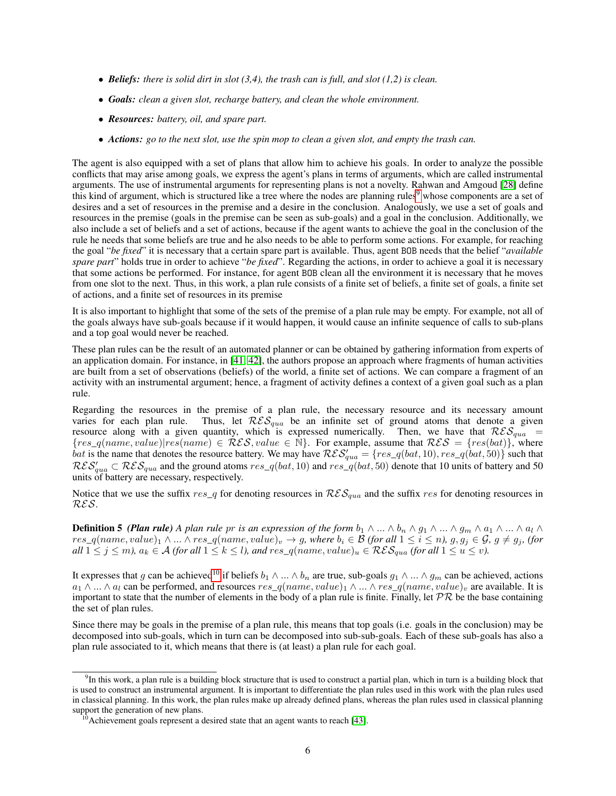- *Beliefs: there is solid dirt in slot (3,4), the trash can is full, and slot (1,2) is clean.*
- *Goals: clean a given slot, recharge battery, and clean the whole environment.*
- *Resources: battery, oil, and spare part.*
- *Actions: go to the next slot, use the spin mop to clean a given slot, and empty the trash can.*

The agent is also equipped with a set of plans that allow him to achieve his goals. In order to analyze the possible conflicts that may arise among goals, we express the agent's plans in terms of arguments, which are called instrumental arguments. The use of instrumental arguments for representing plans is not a novelty. Rahwan and Amgoud [\[28\]](#page-29-10) define this kind of argument, which is structured like a tree where the nodes are planning rules<sup>[9](#page-5-0)</sup> whose components are a set of desires and a set of resources in the premise and a desire in the conclusion. Analogously, we use a set of goals and resources in the premise (goals in the premise can be seen as sub-goals) and a goal in the conclusion. Additionally, we also include a set of beliefs and a set of actions, because if the agent wants to achieve the goal in the conclusion of the rule he needs that some beliefs are true and he also needs to be able to perform some actions. For example, for reaching the goal "*be fixed*" it is necessary that a certain spare part is available. Thus, agent BOB needs that the belief "*available spare part*" holds true in order to achieve "*be fixed*". Regarding the actions, in order to achieve a goal it is necessary that some actions be performed. For instance, for agent BOB clean all the environment it is necessary that he moves from one slot to the next. Thus, in this work, a plan rule consists of a finite set of beliefs, a finite set of goals, a finite set of actions, and a finite set of resources in its premise

It is also important to highlight that some of the sets of the premise of a plan rule may be empty. For example, not all of the goals always have sub-goals because if it would happen, it would cause an infinite sequence of calls to sub-plans and a top goal would never be reached.

These plan rules can be the result of an automated planner or can be obtained by gathering information from experts of an application domain. For instance, in [\[41,](#page-30-1) [42\]](#page-30-2), the authors propose an approach where fragments of human activities are built from a set of observations (beliefs) of the world, a finite set of actions. We can compare a fragment of an activity with an instrumental argument; hence, a fragment of activity defines a context of a given goal such as a plan rule.

Regarding the resources in the premise of a plan rule, the necessary resource and its necessary amount varies for each plan rule. Thus, let  $\mathcal{RES}_{qua}$  be an infinite set of ground atoms that denote a given resource along with a given quantity, which is expressed numerically. Then, we have that  $\mathcal{RES}_{qua}$  =  ${res_q(name, value)| res(name) \in \mathcal{RES}, value \in \mathbb{N}$ . For example, assume that  $\mathcal{RES} = {res(bat)}$ , where bat is the name that denotes the resource battery. We may have  $\mathcal{RES}_{qua}' = \{res\_q(bat, 10), res\_q(bat, 50)\}$  such that  $RES'_{qua} \subset RES_{qua}$  and the ground atoms  $res_q(bat, 10)$  and  $res_q(bat, 50)$  denote that 10 units of battery and 50 units of battery are necessary, respectively.

Notice that we use the suffix  $res_q$  for denoting resources in  $RES_{qua}$  and the suffix res for denoting resources in RES.

**Definition 5** *(Plan rule) A plan rule pr is an expression of the form*  $b_1 \wedge ... \wedge b_n \wedge g_1 \wedge ... \wedge g_m \wedge a_1 \wedge ... \wedge a_l \wedge a_l$  $res\_q(name, value)_1 \wedge ... \wedge res\_q(name, value)_v \rightarrow g$ , where  $b_i \in \mathcal{B}$  (for all  $1 \leq i \leq n$ ),  $g, g_j \in \mathcal{G}$ ,  $g \neq g_j$ , (for *all*  $1 ≤ j ≤ m$ *),*  $a_k ∈ A$  *(for all*  $1 ≤ k ≤ l$ *), and res\_q(name, value)<sub>u</sub> ∈ RES<sub>qua</sub> (for all*  $1 ≤ u ≤ v$ *).* 

It expresses that g can be achieved<sup>[10](#page-5-1)</sup> if beliefs  $b_1 \wedge ... \wedge b_n$  are true, sub-goals  $g_1 \wedge ... \wedge g_m$  can be achieved, actions  $a_1 \wedge ... \wedge a_l$  can be performed, and resources  $res_q(name, value)_1 \wedge ... \wedge res_q(name, value)_v$  are available. It is important to state that the number of elements in the body of a plan rule is finite. Finally, let  $\mathcal{PR}$  be the base containing the set of plan rules.

Since there may be goals in the premise of a plan rule, this means that top goals (i.e. goals in the conclusion) may be decomposed into sub-goals, which in turn can be decomposed into sub-sub-goals. Each of these sub-goals has also a plan rule associated to it, which means that there is (at least) a plan rule for each goal.

<span id="page-5-2"></span><span id="page-5-0"></span> $^{9}$ In this work, a plan rule is a building block structure that is used to construct a partial plan, which in turn is a building block that is used to construct an instrumental argument. It is important to differentiate the plan rules used in this work with the plan rules used in classical planning. In this work, the plan rules make up already defined plans, whereas the plan rules used in classical planning support the generation of new plans.

<span id="page-5-1"></span><sup>&</sup>lt;sup>10</sup>Achievement goals represent a desired state that an agent wants to reach [\[43\]](#page-30-3).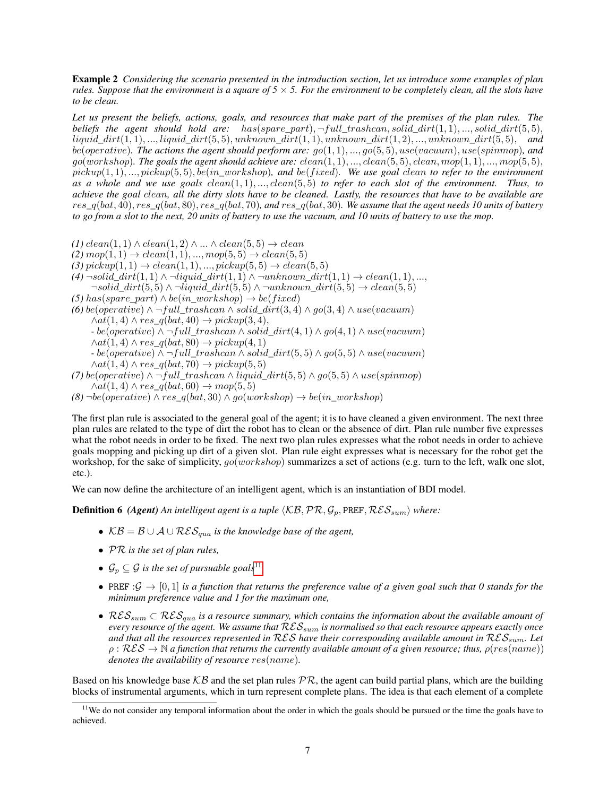Example 2 *Considering the scenario presented in the introduction section, let us introduce some examples of plan rules. Suppose that the environment is a square of 5* × *5. For the environment to be completely clean, all the slots have to be clean.*

*Let us present the beliefs, actions, goals, and resources that make part of the premises of the plan rules. The beliefs the agent should hold are:* has(spare part),  $\neg$ full *trashcan*, solid  $\text{dirt}(1, 1), \ldots, \text{solid}$   $\text{dirt}(5, 5)$ , liquid*\_*dirt(1, 1), ..., liquid*\_*dirt(5, 5), unknown*\_*dirt(1, 1), unknown*\_*dirt(1, 2), ..., unknown*\_*dirt(5, 5), *and* be(operative)*. The actions the agent should perform are:* go(1, 1), ..., go(5, 5), use(vacuum), use(spinmop)*, and*  $g_0(workshop)$ . The goals the agent should achieve are:  $clean(1, 1), ..., clean(5, 5), clean,mp(1, 1), ...,mp(5, 5)$ , pickup(1, 1), ..., pickup(5, 5), be(in workshop), and be(fixed). We use goal clean to refer to the environment *as a whole and we use goals* clean(1, 1), ..., clean(5, 5) *to refer to each slot of the environment. Thus, to achieve the goal* clean*, all the dirty slots have to be cleaned. Lastly, the resources that have to be available are* res*\_*q(bat, 40), res*\_*q(bat, 80), res*\_*q(bat, 70)*, and* res*\_*q(bat, 30)*. We assume that the agent needs 10 units of battery to go from a slot to the next, 20 units of battery to use the vacuum, and 10 units of battery to use the mop.*

- $(1)$  clean(1, 1)  $\land$  clean(1, 2)  $\land \dots \land$  clean(5, 5)  $\rightarrow$  clean
- $(2) \, mop(1,1) \rightarrow clean(1,1), ..., mop(5,5) \rightarrow clean(5,5)$
- $(3) \text{ pickup}(1, 1) \rightarrow clean(1, 1), ..., \text{pickup}(5, 5) \rightarrow clean(5, 5)$
- *(4)* ¬solid*\_*dirt(1, 1) ∧ ¬liquid*\_*dirt(1, 1) ∧ ¬unknown*\_*dirt(1, 1) → clean(1, 1), ...,
- ¬solid*\_*dirt(5, 5) ∧ ¬liquid*\_*dirt(5, 5) ∧ ¬unknown*\_*dirt(5, 5) → clean(5, 5)
- $(5)$  has(spare\_part)  $\land$  be(in\_workshop)  $\rightarrow$  be(fixed)
- *(6)* be(operative) ∧ ¬full*\_*trashcan ∧ solid*\_*dirt(3, 4) ∧ go(3, 4) ∧ use(vacuum)  $\land$ at(1, 4)  $\land$  res\_q(bat, 40)  $\rightarrow$  pickup(3, 4), *-* be(operative) ∧ ¬full*\_*trashcan ∧ solid*\_*dirt(4, 1) ∧ go(4, 1) ∧ use(vacuum)  $\land$ at(1,4)  $\land$  res  $q(bat, 80)$  → pickup(4, 1) *-* be(operative) ∧ ¬full*\_*trashcan ∧ solid*\_*dirt(5, 5) ∧ go(5, 5) ∧ use(vacuum)  $\wedge$ at(1,4)  $\wedge$  res\_q(bat, 70)  $\rightarrow$  pickup(5, 5)
- *(7)* be(*operative*)  $\land$  ¬full\_trashcan  $\land$  liquid\_dirt(5,5)  $\land$  go(5,5)  $\land$  use(spinmop)  $\land$ *at*(1, 4)  $\land$  *res\_q*(*bat*, 60) → *mop*(5, 5)
- *(8)* ¬be(operative) ∧ res*\_*q(bat, 30) ∧ go(workshop) → be(in*\_*workshop)

The first plan rule is associated to the general goal of the agent; it is to have cleaned a given environment. The next three plan rules are related to the type of dirt the robot has to clean or the absence of dirt. Plan rule number five expresses what the robot needs in order to be fixed. The next two plan rules expresses what the robot needs in order to achieve goals mopping and picking up dirt of a given slot. Plan rule eight expresses what is necessary for the robot get the workshop, for the sake of simplicity,  $g_0(workshop)$  summarizes a set of actions (e.g. turn to the left, walk one slot, etc.).

<span id="page-6-1"></span>We can now define the architecture of an intelligent agent, which is an instantiation of BDI model.

**Definition 6** *(Agent)* An intelligent agent is a tuple  $\langle KB, PR, \mathcal{G}_n, PREF, RES_{sum} \rangle$  where:

- KB = B ∪ A ∪ RESqua *is the knowledge base of the agent,*
- PR *is the set of plan rules,*
- $\mathcal{G}_p \subseteq \mathcal{G}$  *is the set of pursuable goals*<sup>[11](#page-6-0)</sup>,
- PREF : $\mathcal{G} \to [0,1]$  *is a function that returns the preference value of a given goal such that 0 stands for the minimum preference value and 1 for the maximum one,*
- $RES_{sum} \subset RES_{qua}$  *is a resource summary, which contains the information about the available amount of every resource of the agent. We assume that* RESsum *is normalised so that each resource appears exactly once and that all the resources represented in* RES *have their corresponding available amount in* RESsum*. Let*  $\rho: RES \to \mathbb{N}$  a function that returns the currently available amount of a given resource; thus,  $\rho(res(name))$ *denotes the availability of resource* res(name)*.*

Based on his knowledge base  $KB$  and the set plan rules  $PR$ , the agent can build partial plans, which are the building blocks of instrumental arguments, which in turn represent complete plans. The idea is that each element of a complete

<span id="page-6-0"></span><sup>&</sup>lt;sup>11</sup>We do not consider any temporal information about the order in which the goals should be pursued or the time the goals have to achieved.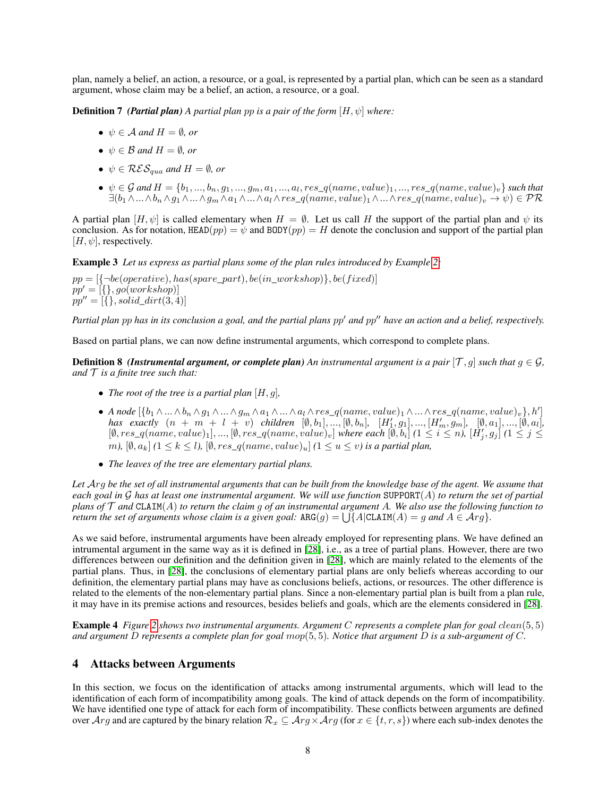plan, namely a belief, an action, a resource, or a goal, is represented by a partial plan, which can be seen as a standard argument, whose claim may be a belief, an action, a resource, or a goal.

**Definition 7** *(Partial plan) A partial plan pp is a pair of the form*  $[H, \psi]$  *where:* 

- $\psi \in \mathcal{A}$  *and*  $H = \emptyset$ *, or*
- $\psi \in \mathcal{B}$  *and*  $H = \emptyset$ *, or*
- $\psi \in \mathcal{RES}_{\text{diag}}$  and  $H = \emptyset$ , or
- $\psi \in \mathcal{G}$  and  $H = \{b_1, ..., b_n, g_1, ..., g_m, a_1, ..., a_l, res\_q(name, value)_1, ..., res\_q(name, value)_v\}$  such that  $\exists (b_1 \land ... \land b_n \land g_1 \land ... \land g_m \land a_1 \land ... \land a_l \land res\_q(name, value)_1 \land ... \land res\_q(name, value)_v \rightarrow \psi) \in PR$

A partial plan  $[H, \psi]$  is called elementary when  $H = \emptyset$ . Let us call H the support of the partial plan and  $\psi$  its conclusion. As for notation, HEAD(pp) =  $\psi$  and BODY(pp) = H denote the conclusion and support of the partial plan  $[H, \psi]$ , respectively.

**Example 3** Let us express as partial plans some of the plan rules introduced by Example [2:](#page-5-2)

 $pp = {\lbrace \neg be(operative), has(spare~part), be(in~workshop) \rbrace}, be(fixed)]$  $pp' = [\{\}, go(wordshop)]$  $pp'' = [{}, solid\_dirt(3, 4)]$ 

*Partial plan pp has in its conclusion a goal, and the partial plans pp' and pp'' have an action and a belief, respectively.* 

Based on partial plans, we can now define instrumental arguments, which correspond to complete plans.

**Definition 8** *(Instrumental argument, or complete plan)* An instrumental argument is a pair  $[\mathcal{T}, g]$  such that  $g \in \mathcal{G}$ , *and*  $\mathcal T$  *is a finite tree such that:* 

- *The root of the tree is a partial plan*  $[H, q]$ *,*
- *A node*  $[\{b_1 \wedge ... \wedge b_n \wedge g_1 \wedge ... \wedge g_m \wedge a_1 \wedge ... \wedge a_l \wedge res_q(name, value)_1 \wedge ... \wedge res_q(name, value)_v\}, h']$ *has exactly*  $(n + m + l + v)$  *children*  $[\emptyset, b_1], ..., [\emptyset, b_n]$ ,  $[H'_1, g_1], ..., [H'_m, g_m]$ ,  $[\emptyset, a_1], ..., [\emptyset, a_l]$ ,  $[\emptyset, res\_q(name, value)_1], ..., [\emptyset, res\_q(name, value)_v]$  where each  $[\emptyset, b_i]$   $(1 \leq i \leq n)$ ,  $[H'_j, g_j]$   $(1 \leq j \leq n)$ m),  $[\emptyset, a_k]$   $(1 \leq k \leq l)$ ,  $[\emptyset, res \ q(name, value)_u]$   $(1 \leq u \leq v)$  is a partial plan,
- *The leaves of the tree are elementary partial plans.*

*Let* Arg *be the set of all instrumental arguments that can be built from the knowledge base of the agent. We assume that each goal in* G *has at least one instrumental argument. We will use function* SUPPORT(A) *to return the set of partial plans of* T *and* CLAIM(A) *to return the claim* g *of an instrumental argument* A*. We also use the following function to return the set of arguments whose claim is a given goal:*  $\texttt{ARG}(g) = \bigcup \{A | \texttt{CLAIM}(A) = g \text{ and } A \in \mathcal{A}rg\}$ .

As we said before, instrumental arguments have been already employed for representing plans. We have defined an intrumental argument in the same way as it is defined in [\[28\]](#page-29-10), i.e., as a tree of partial plans. However, there are two differences between our definition and the definition given in [\[28\]](#page-29-10), which are mainly related to the elements of the partial plans. Thus, in [\[28\]](#page-29-10), the conclusions of elementary partial plans are only beliefs whereas according to our definition, the elementary partial plans may have as conclusions beliefs, actions, or resources. The other difference is related to the elements of the non-elementary partial plans. Since a non-elementary partial plan is built from a plan rule, it may have in its premise actions and resources, besides beliefs and goals, which are the elements considered in [\[28\]](#page-29-10).

<span id="page-7-1"></span>Example 4 *Figure [2](#page-8-0) shows two instrumental arguments. Argument* C *represents a complete plan for goal* clean(5, 5) *and argument* D *represents a complete plan for goal* mop(5, 5)*. Notice that argument* D *is a sub-argument of* C*.*

# <span id="page-7-0"></span>4 Attacks between Arguments

In this section, we focus on the identification of attacks among instrumental arguments, which will lead to the identification of each form of incompatibility among goals. The kind of attack depends on the form of incompatibility. We have identified one type of attack for each form of incompatibility. These conflicts between arguments are defined over Arg and are captured by the binary relation  $\mathcal{R}_x \subseteq \mathcal{A}rg \times \mathcal{A}rg$  (for  $x \in \{t, r, s\}$ ) where each sub-index denotes the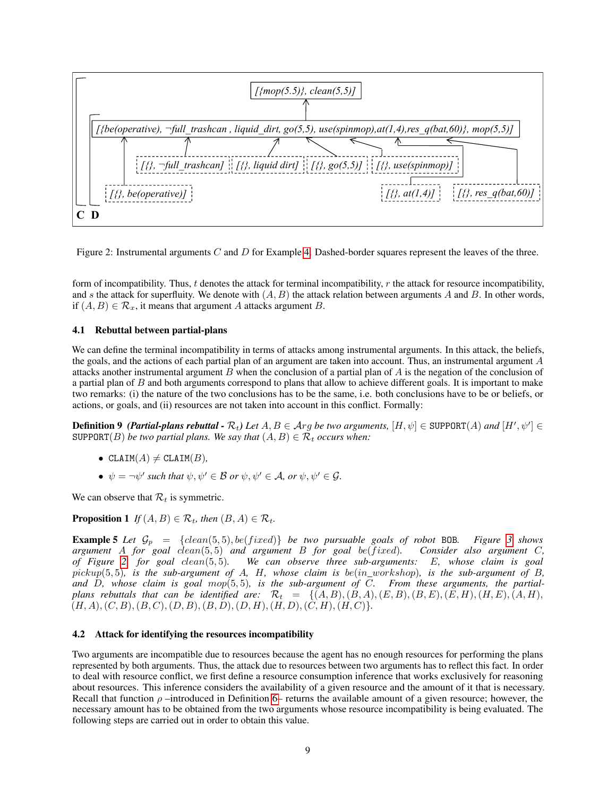

<span id="page-8-0"></span>Figure 2: Instrumental arguments C and D for Example [4.](#page-7-1) Dashed-border squares represent the leaves of the three.

form of incompatibility. Thus,  $t$  denotes the attack for terminal incompatibility,  $r$  the attack for resource incompatibility, and s the attack for superfluity. We denote with  $(A, B)$  the attack relation between arguments A and B. In other words, if  $(A, B) \in \mathcal{R}_x$ , it means that argument A attacks argument B.

#### 4.1 Rebuttal between partial-plans

We can define the terminal incompatibility in terms of attacks among instrumental arguments. In this attack, the beliefs, the goals, and the actions of each partial plan of an argument are taken into account. Thus, an instrumental argument A attacks another instrumental argument  $B$  when the conclusion of a partial plan of  $A$  is the negation of the conclusion of a partial plan of B and both arguments correspond to plans that allow to achieve different goals. It is important to make two remarks: (i) the nature of the two conclusions has to be the same, i.e. both conclusions have to be or beliefs, or actions, or goals, and (ii) resources are not taken into account in this conflict. Formally:

**Definition 9** (Partial-plans rebuttal -  $\mathcal{R}_t$ ) Let  $A, B \in \mathcal{A}$ rg be two arguments,  $[H, \psi] \in \text{SUPPORT}(A)$  and  $[H', \psi'] \in$ SUPPORT(*B*) *be two partial plans. We say that*  $(A, B) \in \mathcal{R}_t$  *occurs when:* 

- CLAIM $(A) \neq$  CLAIM $(B)$ *,*
- $\psi = \neg \psi'$  such that  $\psi, \psi' \in \mathcal{B}$  or  $\psi, \psi' \in \mathcal{A}$ , or  $\psi, \psi' \in \mathcal{G}$ .

<span id="page-8-2"></span>We can observe that  $\mathcal{R}_t$  is symmetric.

**Proposition 1** *If*  $(A, B) \in \mathcal{R}_t$ *, then*  $(B, A) \in \mathcal{R}_t$ *.* 

<span id="page-8-1"></span>**Example 5** Let  $\mathcal{G}_p$  = {clean(5,5), be(fixed)} be two pursuable goals of robot BOB. Figure [3](#page-9-0) shows *argument* A *for goal*  $clean(5, 5)$  *and argument* B *for goal*  $be(fixed)$ *. Consider also argument* C*, of Figure [2,](#page-8-0) for goal* clean(5, 5)*. We can observe three sub-arguments:* E*, whose claim is goal* pickup(5, 5)*, is the sub-argument of* A*,* H*, whose claim is* be(in*\_*workshop)*, is the sub-argument of* B*,* and  $\overline{D}$ , whose claim is goal mop(5,5), is the sub-argument of  $\overline{C}$ . From these arguments, the partial*plans rebuttals that can be identified are:*  $\mathcal{R}_t = \{(A, B), (B, A), (E, B), (B, E), (E, H), (H, E), (A, H),$  $(H, A), (C, B), (B, C), (D, B), (B, D), (D, H), (H, D), (\tilde{C}, H), (\tilde{H}, C).$ 

#### 4.2 Attack for identifying the resources incompatibility

Two arguments are incompatible due to resources because the agent has no enough resources for performing the plans represented by both arguments. Thus, the attack due to resources between two arguments has to reflect this fact. In order to deal with resource conflict, we first define a resource consumption inference that works exclusively for reasoning about resources. This inference considers the availability of a given resource and the amount of it that is necessary. Recall that function  $\rho$  –introduced in Definition [6–](#page-6-1) returns the available amount of a given resource; however, the necessary amount has to be obtained from the two arguments whose resource incompatibility is being evaluated. The following steps are carried out in order to obtain this value.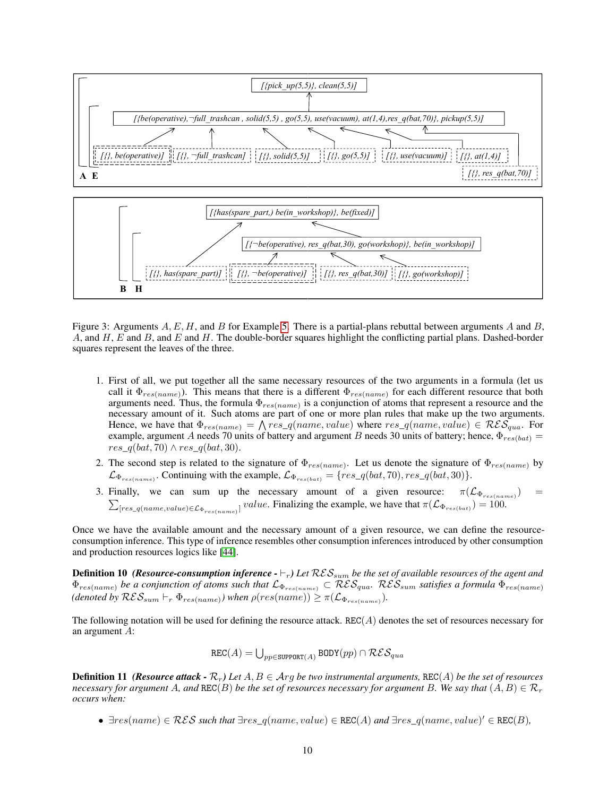

Figure 3: Arguments  $A, E, H$ , and B for Example [5.](#page-8-1) There is a partial-plans rebuttal between arguments A and B, A, and  $H$ ,  $E$  and  $B$ , and  $E$  and  $H$ . The double-border squares highlight the conflicting partial plans. Dashed-border squares represent the leaves of the three.

- <span id="page-9-0"></span>1. First of all, we put together all the same necessary resources of the two arguments in a formula (let us call it  $\Phi_{res(name)}$ ). This means that there is a different  $\Phi_{res(name)}$  for each different resource that both arguments need. Thus, the formula  $\Phi_{res(name)}$  is a conjunction of atoms that represent a resource and the necessary amount of it. Such atoms are part of one or more plan rules that make up the two arguments. Hence, we have that  $\Phi_{res(name)} = \bigwedge res_q(name, value)$  where  $res_q(name, value) \in \mathcal{RES}_{qua}$ . For example, argument A needs 70 units of battery and argument B needs 30 units of battery; hence,  $\Phi_{res(bat)} =$  $res_q(bat, 70) \wedge res_q(bat, 30).$
- 2. The second step is related to the signature of  $\Phi_{res(name)}$ . Let us denote the signature of  $\Phi_{res(name)}$  by  $\mathcal{L}_{\Phi_{res(name)}}$ . Continuing with the example,  $\mathcal{L}_{\Phi_{res(bat)}} = \{res\_q(bat, 70), res\_q(bat, 30)\}.$
- 3. Finally, we can sum up the necessary amount of a given resource:  $\pi(\mathcal{L}_{\Phi_{res(name)}})$  =  $\sum_{[res\_q(name, value) \in \mathcal{L}_{\Phi_{res(name)}}]} value$ . Finalizing the example, we have that  $\pi(\mathcal{L}_{\Phi_{res(bat)}}) = 100$ .

Once we have the available amount and the necessary amount of a given resource, we can define the resourceconsumption inference. This type of inference resembles other consumption inferences introduced by other consumption and production resources logics like [\[44\]](#page-30-4).

**Definition 10** (Resource-consumption inference  $- \vdash_r$ ) Let  $\mathcal{RES}_{sum}$  be the set of available resources of the agent and  $\Phi_{res(name)}$  *be a conjunction of atoms such that*  $\mathcal{L}_{\Phi_{res(name)}} \subset \mathcal{RES}_{qua}$ .  $\mathcal{RES}_{sum}$  *satisfies a formula*  $\Phi_{res(name)}$ (denoted by  $\mathcal{RES}_{sum} \vdash_r \Phi_{res(name)}$ ) when  $\rho(res(name)) \geq \pi(\mathcal{L}_{\Phi_{res(name)}}).$ 

The following notation will be used for defining the resource attack. REC( $A$ ) denotes the set of resources necessary for an argument A:

$$
\texttt{REC}(A) = \bigcup_{pp \in \texttt{SUPPORT}(A)} \texttt{BODY}(pp) \cap \mathcal{RES}_{qua}
$$

**Definition 11** *(Resource attack - R<sub>r</sub>) Let*  $A, B \in \mathcal{A}$ rg *be two instrumental arguments,* REC(A) *be the set of resources necessary for argument* A, and REC(B) be the set of resources necessary for argument B. We say that  $(A, B) \in \mathcal{R}_r$ *occurs when:*

 $\bullet$   $\exists res(name) \in \mathcal{RES}$  such that  $\exists res\_q(name, value) \in \text{REC}(A)$  and  $\exists res\_q(name, value)' \in \text{REC}(B)$ ,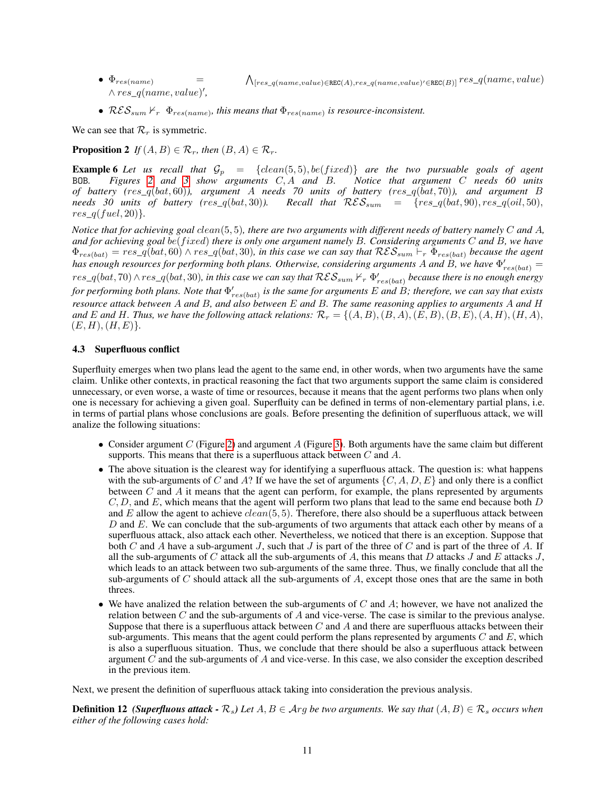- $\bullet$   $\Phi_{res(name)}$  $\bigwedge_{[res\_q(name, value) \in \texttt{REC}(A), res\_q(name, value)' \in \texttt{REC}(B)]} res\_q(name, value)$  $\wedge$  *res\_q*(*name*, *value*)',
- $\mathcal{RES}_{sum} \nvdash_r \Phi_{res(name)}$ , this means that  $\Phi_{res(name)}$  is resource-inconsistent.

We can see that  $\mathcal{R}_r$  is symmetric.

<span id="page-10-0"></span>**Proposition 2** *If*  $(A, B) \in \mathcal{R}_r$ , then  $(B, A) \in \mathcal{R}_r$ .

**Example 6** *Let us recall that*  $G_p = \{clean(5, 5), be(fixed)\}$  *are the two pursuable goals of agent* **EQB.** Figures 2 *and* 3 *show arguments C*. A *and* B. Notice that argument *C* needs 60 *units* BOB*. Figures [2](#page-8-0) and [3](#page-9-0) show arguments* C, A *and* B*. Notice that argument* C *needs 60 units of battery (*res*\_*q(bat, 60)*), argument* A *needs 70 units of battery (*res*\_*q(bat, 70)*), and argument* B  $n$ eeds 30 units of battery ( $res_q(bat, 30)$ ). Recall that  $RES_{sum}$  = { $res_q(bat, 90)$ ,  $res_q(oil, 50)$ ,  $res_q(fuel, 20)$ .

*Notice that for achieving goal* clean(5, 5)*, there are two arguments with different needs of battery namely* C *and* A*, and for achieving goal* be(f ixed) *there is only one argument namely* B*. Considering arguments* C *and* B*, we have*  $\Phi_{res(bat)} = res\_q(bat, 60) \wedge res\_q(bat, 30)$ , in this case we can say that  $\mathcal{RES}_{sum} \vdash_r \Phi_{res(bat)}$  because the agent has enough resources for performing both plans. Otherwise, considering arguments A and B, we have  $\Phi'_{res(bat)}=$  $res\_q(bat,70)\wedge res\_q(bat,30)$ , in this case we can say that  $\mathcal{RES}_{sum}$   $\nvdash_r \Phi'_{res(bat)}$  because there is no enough energy for performing both plans. Note that  $\Phi'_{res(bat)}$  is the same for arguments  $E$  and  $B$ ; therefore, we can say that exists *resource attack between* A *and* B*, and also between* E *and* B*. The same reasoning applies to arguments* A *and* H *and* E and H. Thus, we have the following attack relations:  $\mathcal{R}_r = \{(A, B), (B, A), (E, B), (B, E), (A, H), (H, A),$  $(E, H), (H, E).$ 

#### 4.3 Superfluous conflict

Superfluity emerges when two plans lead the agent to the same end, in other words, when two arguments have the same claim. Unlike other contexts, in practical reasoning the fact that two arguments support the same claim is considered unnecessary, or even worse, a waste of time or resources, because it means that the agent performs two plans when only one is necessary for achieving a given goal. Superfluity can be defined in terms of non-elementary partial plans, i.e. in terms of partial plans whose conclusions are goals. Before presenting the definition of superfluous attack, we will analize the following situations:

- Consider argument C (Figure [2\)](#page-8-0) and argument A (Figure [3\)](#page-9-0). Both arguments have the same claim but different supports. This means that there is a superfluous attack between  $C$  and  $A$ .
- The above situation is the clearest way for identifying a superfluous attack. The question is: what happens with the sub-arguments of C and A? If we have the set of arguments  $\{C, A, D, E\}$  and only there is a conflict between  $C$  and  $\overline{A}$  it means that the agent can perform, for example, the plans represented by arguments  $C, D$ , and E, which means that the agent will perform two plans that lead to the same end because both  $D$ and E allow the agent to achieve  $clean(5, 5)$ . Therefore, there also should be a superfluous attack between  $D$  and  $E$ . We can conclude that the sub-arguments of two arguments that attack each other by means of a superfluous attack, also attack each other. Nevertheless, we noticed that there is an exception. Suppose that both C and A have a sub-argument J, such that J is part of the three of C and is part of the three of A. If all the sub-arguments of C attack all the sub-arguments of A, this means that D attacks J and E attacks J, which leads to an attack between two sub-arguments of the same three. Thus, we finally conclude that all the sub-arguments of  $C$  should attack all the sub-arguments of  $A$ , except those ones that are the same in both threes.
- We have analized the relation between the sub-arguments of  $C$  and  $A$ ; however, we have not analized the relation between  $C$  and the sub-arguments of  $A$  and vice-verse. The case is similar to the previous analyse. Suppose that there is a superfluous attack between  $C$  and  $A$  and there are superfluous attacks between their sub-arguments. This means that the agent could perform the plans represented by arguments  $C$  and  $E$ , which is also a superfluous situation. Thus, we conclude that there should be also a superfluous attack between argument  $C$  and the sub-arguments of  $A$  and vice-verse. In this case, we also consider the exception described in the previous item.

Next, we present the definition of superfluous attack taking into consideration the previous analysis.

**Definition 12** *(Superfluous attack - R<sub>s</sub>) Let*  $A, B \in \mathcal{A}$ rg *be two arguments. We say that*  $(A, B) \in \mathcal{R}_s$  *occurs when either of the following cases hold:*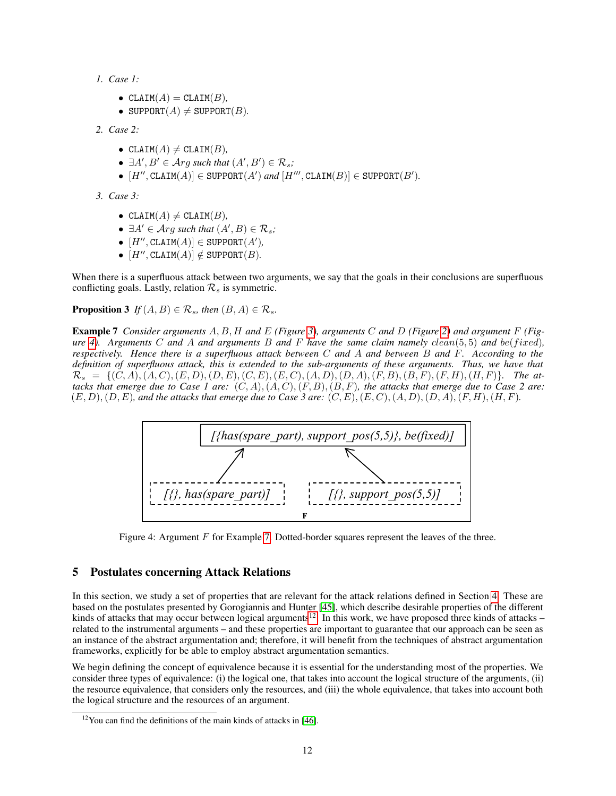- *1. Case 1:*
	- $CLAIM(A) = CLAIM(B)$ ,
	- SUPPORT $(A) \neq$  SUPPORT $(B)$ .

*2. Case 2:*

- CLAIM $(A) \neq$  CLAIM $(B)$ *,*
- $\exists A', B' \in \mathcal{A}$ rg such that  $(A', B') \in \mathcal{R}_s$ ;
- $[H'',\text{CLAIM}(A)] \in \text{SUPPORT}(A')$  and  $[H''',\text{CLAIM}(B)] \in \text{SUPPORT}(B').$

*3. Case 3:*

- CLAIM $(A) \neq$  CLAIM $(B)$ *,*
- $\exists A' \in \mathcal{A}rg$  *such that*  $(A', B) \in \mathcal{R}_s$ *;*
- $\bullet$   $[H'', \text{CLAIM}(A)] \in \text{SUPPORT}(A'),$
- $[H'',\text{CLAIM}(A)] \notin \text{SUPPORT}(B)$ .

When there is a superfluous attack between two arguments, we say that the goals in their conclusions are superfluous conflicting goals. Lastly, relation  $\mathcal{R}_s$  is symmetric.

<span id="page-11-4"></span>**Proposition 3** *If*  $(A, B) \in \mathcal{R}_s$ *, then*  $(B, A) \in \mathcal{R}_s$ *.* 

<span id="page-11-2"></span>Example 7 *Consider arguments* A, B, H *and* E *(Figure [3\)](#page-9-0), arguments* C *and* D *(Figure [2\)](#page-8-0) and argument* F *(Figure* [4\)](#page-11-1)*.* Arguments C and A and arguments B and F have the same claim namely clean(5,5) and be(fixed), *respectively. Hence there is a superfluous attack between* C *and* A *and between* B *and* F*. According to the definition of superfluous attack, this is extended to the sub-arguments of these arguments. Thus, we have that*  $\mathcal{R}_s = \{ (C, A), (A, C), (E, D), (D, E), (C, E), (E, C), (A, D), (D, A), (F, B), (B, F), (F, H), (H, F) \}.$  The attacks that emerge due to Case 1 are:  $(C, A), (A, C), (F, B), (B, F)$ , the attacks that emerge due to Case 2 are:  $(E, D), (D, E)$ , and the attacks that emerge due to Case 3 are:  $(C, E), (E, C), (A, D), (D, A), (F, H), (H, F)$ .

<span id="page-11-1"></span>

Figure 4: Argument  $F$  for Example [7.](#page-11-2) Dotted-border squares represent the leaves of the three.

# <span id="page-11-0"></span>5 Postulates concerning Attack Relations

In this section, we study a set of properties that are relevant for the attack relations defined in Section [4.](#page-7-0) These are based on the postulates presented by Gorogiannis and Hunter [\[45\]](#page-30-5), which describe desirable properties of the different kinds of attacks that may occur between logical arguments<sup>[12](#page-11-3)</sup>. In this work, we have proposed three kinds of attacks – related to the instrumental arguments – and these properties are important to guarantee that our approach can be seen as an instance of the abstract argumentation and; therefore, it will benefit from the techniques of abstract argumentation frameworks, explicitly for be able to employ abstract argumentation semantics.

We begin defining the concept of equivalence because it is essential for the understanding most of the properties. We consider three types of equivalence: (i) the logical one, that takes into account the logical structure of the arguments, (ii) the resource equivalence, that considers only the resources, and (iii) the whole equivalence, that takes into account both the logical structure and the resources of an argument.

<span id="page-11-3"></span> $12$ You can find the definitions of the main kinds of attacks in [\[46\]](#page-30-6).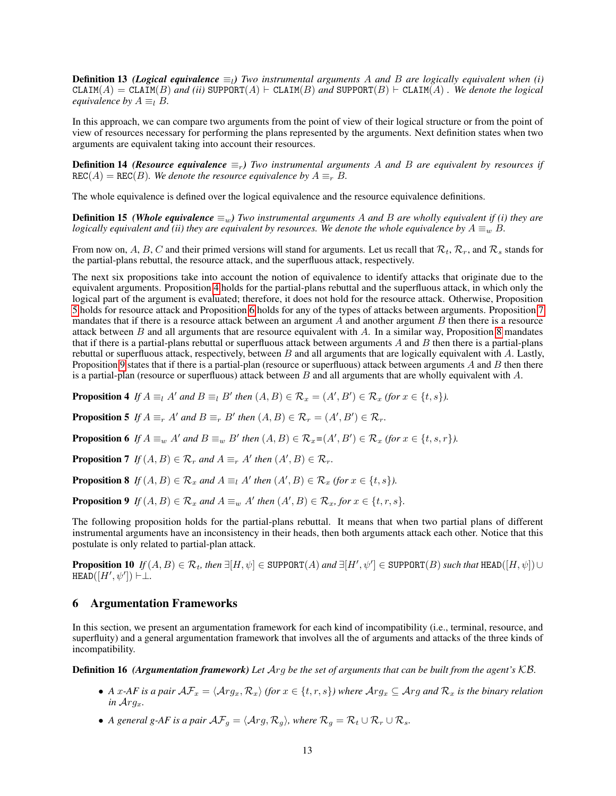**Definition 13** *(Logical equivalence*  $\equiv$ <sub>*l</sub>) Two instrumental arguments* A *and* B *are logically equivalent when (i)*</sub>  $CLAIM(A) = CLAIM(B)$  *and (ii)* SUPPORT(A)  $\vdash$  CLAIM(B) and SUPPORT(B)  $\vdash$  CLAIM(A). We denote the logical *equivalence by*  $A \equiv_{l} B$ .

In this approach, we can compare two arguments from the point of view of their logical structure or from the point of view of resources necessary for performing the plans represented by the arguments. Next definition states when two arguments are equivalent taking into account their resources.

**Definition 14** *(Resource equivalence*  $\equiv_r$ *) Two instrumental arguments* A *and* B are equivalent by resources if  $\text{REC}(A) = \text{REC}(B)$ *. We denote the resource equivalence by*  $A \equiv_r B$ *.* 

The whole equivalence is defined over the logical equivalence and the resource equivalence definitions.

**Definition 15** *(Whole equivalence*  $\equiv_w$ ) *Two instrumental arguments* A and B are wholly equivalent if (i) they are *logically equivalent and (ii) they are equivalent by resources. We denote the whole equivalence by*  $A \equiv_w B$ .

From now on, A, B, C and their primed versions will stand for arguments. Let us recall that  $\mathcal{R}_t$ ,  $\mathcal{R}_r$ , and  $\mathcal{R}_s$  stands for the partial-plans rebuttal, the resource attack, and the superfluous attack, respectively.

The next six propositions take into account the notion of equivalence to identify attacks that originate due to the equivalent arguments. Proposition [4](#page-12-1) holds for the partial-plans rebuttal and the superfluous attack, in which only the logical part of the argument is evaluated; therefore, it does not hold for the resource attack. Otherwise, Proposition [5](#page-12-2) holds for resource attack and Proposition [6](#page-12-3) holds for any of the types of attacks between arguments. Proposition [7](#page-12-4) mandates that if there is a resource attack between an argument  $A$  and another argument  $B$  then there is a resource attack between  $B$  and all arguments that are resource equivalent with  $A$ . In a similar way, Proposition [8](#page-12-5) mandates that if there is a partial-plans rebuttal or superfluous attack between arguments  $A$  and  $B$  then there is a partial-plans rebuttal or superfluous attack, respectively, between  $B$  and all arguments that are logically equivalent with  $A$ . Lastly, Proposition [9](#page-12-6) states that if there is a partial-plan (resource or superfluous) attack between arguments  $A$  and  $B$  then there is a partial-plan (resource or superfluous) attack between  $B$  and all arguments that are wholly equivalent with  $A$ .

<span id="page-12-1"></span>**Proposition 4** If  $A \equiv_l A'$  and  $B \equiv_l B'$  then  $(A, B) \in \mathcal{R}_x = (A', B') \in \mathcal{R}_x$  (for  $x \in \{t, s\}$ ).

<span id="page-12-2"></span>**Proposition 5** If  $A \equiv_r A'$  and  $B \equiv_r B'$  then  $(A, B) \in \mathcal{R}_r = (A', B') \in \mathcal{R}_r$ .

<span id="page-12-3"></span>**Proposition 6** If  $A \equiv_w A'$  and  $B \equiv_w B'$  then  $(A, B) \in \mathcal{R}_x = (A', B') \in \mathcal{R}_x$  (for  $x \in \{t, s, r\}$ ).

<span id="page-12-4"></span>**Proposition 7** If  $(A, B) \in \mathcal{R}_r$  and  $A \equiv_r A'$  then  $(A', B) \in \mathcal{R}_r$ .

<span id="page-12-5"></span>**Proposition 8** *If*  $(A, B) \in \mathcal{R}_x$  *and*  $A \equiv_l A'$  *then*  $(A', B) \in \mathcal{R}_x$  *(for*  $x \in \{t, s\}$ *).* 

<span id="page-12-6"></span>**Proposition 9** If  $(A, B) \in \mathcal{R}_x$  and  $A \equiv_w A'$  then  $(A', B) \in \mathcal{R}_x$ , for  $x \in \{t, r, s\}$ .

The following proposition holds for the partial-plans rebuttal. It means that when two partial plans of different instrumental arguments have an inconsistency in their heads, then both arguments attack each other. Notice that this postulate is only related to partial-plan attack.

<span id="page-12-7"></span> $\mathbf{Proposition 10}$   $\textit{If } (A, B) \in \mathcal{R}_t$ , then  $\exists [H, \psi] \in \texttt{SUPPORT}(A)$  and  $\exists [H', \psi'] \in \texttt{SUPPORT}(B)$  such that  $\texttt{HEAD}([H, \psi]) \cup \texttt{Map}([H, \psi])$  $\widehat{\texttt{HEAD}}([H',\psi']) \vdash \perp.$ 

#### <span id="page-12-0"></span>6 Argumentation Frameworks

In this section, we present an argumentation framework for each kind of incompatibility (i.e., terminal, resource, and superfluity) and a general argumentation framework that involves all the of arguments and attacks of the three kinds of incompatibility.

Definition 16 *(Argumentation framework) Let* Arg *be the set of arguments that can be built from the agent's* KB*.*

- *A* x-AF is a pair  $\mathcal{AF}_x = \langle \mathcal{A}r g_x, \mathcal{R}_x \rangle$  (for  $x \in \{t, r, s\}$ ) where  $\mathcal{A}r g_x \subseteq \mathcal{A}r g$  and  $\mathcal{R}_x$  is the binary relation  $in$   $\mathcal{A}ra_{r}$ .
- *A general g-AF is a pair*  $\mathcal{AF}_q = \langle \mathcal{A}rg, \mathcal{R}_q \rangle$ *, where*  $\mathcal{R}_q = \mathcal{R}_t \cup \mathcal{R}_r \cup \mathcal{R}_s$ *.*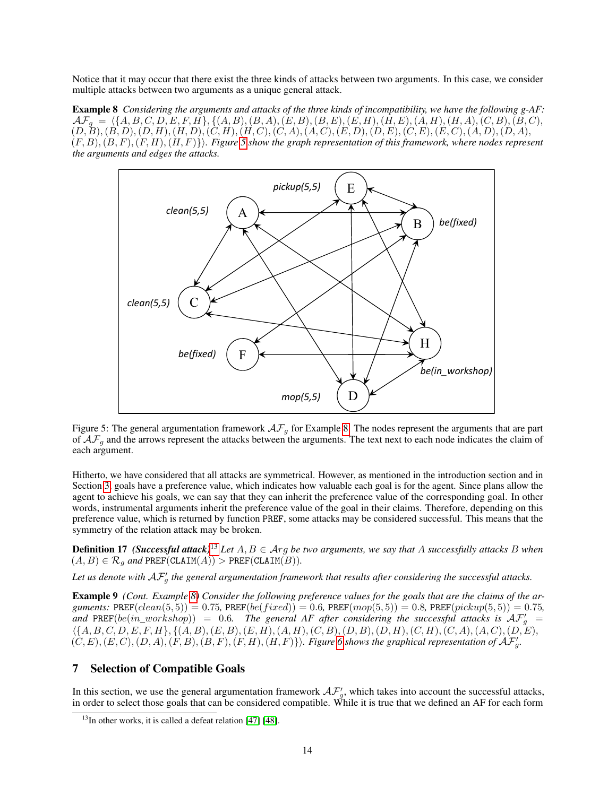Notice that it may occur that there exist the three kinds of attacks between two arguments. In this case, we consider multiple attacks between two arguments as a unique general attack.

<span id="page-13-2"></span>Example 8 *Considering the arguments and attacks of the three kinds of incompatibility, we have the following g-AF:*  $\mathcal{AF}_q = \langle \{A, B, C, D, E, F, H\}, \{ (A, B), (B, A), (E, B), (B, E), (E, H), (H, E), (A, H), (H, A), (C, B), (B, C), \}$  $(D, B), (B, D), (D, H), (H, D), (C, H), (H, C), (C, A), (A, C), (E, D), (D, E), (C, E), (E, C), (A, D), (D, A),$  $(F, B), (B, F), (F, H), (H, F)\}\.$  *Figure* [5](#page-13-1) show the graph representation of this framework, where nodes represent *the arguments and edges the attacks.*



<span id="page-13-1"></span>Figure 5: The general argumentation framework  $A\mathcal{F}_g$  for Example [8.](#page-13-2) The nodes represent the arguments that are part of  $A\mathcal{F}_g$  and the arrows represent the attacks between the arguments. The text next to each node indicates the claim of each argument.

Hitherto, we have considered that all attacks are symmetrical. However, as mentioned in the introduction section and in Section [3,](#page-4-3) goals have a preference value, which indicates how valuable each goal is for the agent. Since plans allow the agent to achieve his goals, we can say that they can inherit the preference value of the corresponding goal. In other words, instrumental arguments inherit the preference value of the goal in their claims. Therefore, depending on this preference value, which is returned by function PREF, some attacks may be considered successful. This means that the symmetry of the relation attack may be broken.

**Definition 17** *(Successful attack)*<sup>[13](#page-13-3)</sup> *Let*  $A, B \in \mathcal{A}$ rg *be two arguments, we say that*  $A$  *successfully attacks*  $B$  *when*  $(A, B) \in \mathcal{R}_q$  and PREF(CLAIM $(A))$ ) > PREF(CLAIM $(B)$ ).

Let us denote with  $A\mathcal{F}'_g$  the general argumentation framework that results after considering the successful attacks.

<span id="page-13-4"></span>Example 9 *(Cont. Example [8\)](#page-13-2) Consider the following preference values for the goals that are the claims of the ar* $g$ *uments:*  $PREF(clean(5, 5)) = 0.75$ ,  $PREF(be(fixed)) = 0.6$ ,  $PREF(mop(5, 5)) = 0.8$ ,  $PREF(pickup(5, 5)) = 0.75$ , and PREF(be(in\_workshop)) = 0.6. The general AF after considering the successful attacks is  $\mathcal{AF}_g'$  = h{A, B, C, D, E, F, H}, {(A, B),(E, B),(E, H),(A, H),(C, B),(D, B),(D, H),(C, H),(C, A),(A, C),(D, E),  $(C, E), (E, C), (D, A), (F, B), (B, F), (F, H), (H, F)$ }). Figure [6](#page-14-0) shows the graphical representation of  $\mathcal{AF}_g$ .

# <span id="page-13-0"></span>7 Selection of Compatible Goals

In this section, we use the general argumentation framework  $\mathcal{AF}'_g$ , which takes into account the successful attacks, in order to select those goals that can be considered compatible. While it is true that we defined an AF for each form

<span id="page-13-3"></span> $13$ In other works, it is called a defeat relation [\[47\]](#page-30-7) [\[48\]](#page-30-8).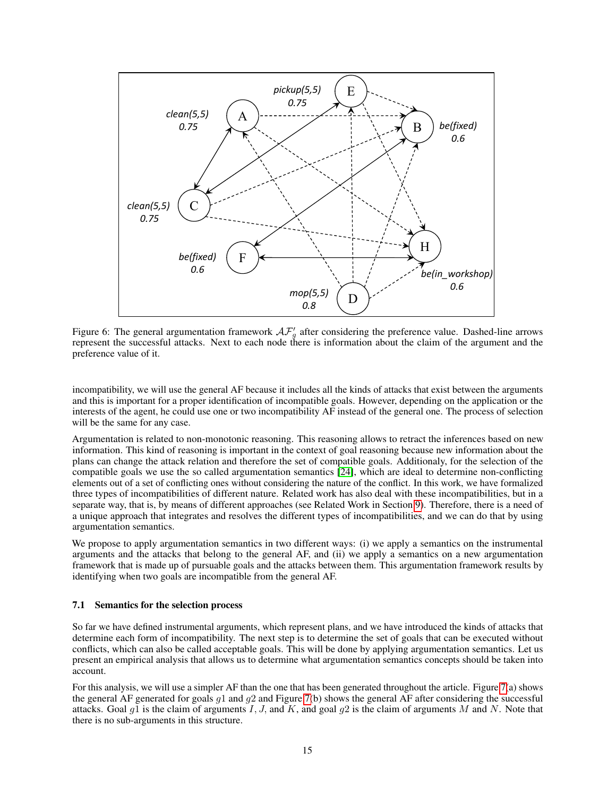

<span id="page-14-0"></span>Figure 6: The general argumentation framework  $\mathcal{AF}'_g$  after considering the preference value. Dashed-line arrows represent the successful attacks. Next to each node there is information about the claim of the argument and the preference value of it.

incompatibility, we will use the general AF because it includes all the kinds of attacks that exist between the arguments and this is important for a proper identification of incompatible goals. However, depending on the application or the interests of the agent, he could use one or two incompatibility AF instead of the general one. The process of selection will be the same for any case.

Argumentation is related to non-monotonic reasoning. This reasoning allows to retract the inferences based on new information. This kind of reasoning is important in the context of goal reasoning because new information about the plans can change the attack relation and therefore the set of compatible goals. Additionaly, for the selection of the compatible goals we use the so called argumentation semantics [\[24\]](#page-29-6), which are ideal to determine non-conflicting elements out of a set of conflicting ones without considering the nature of the conflict. In this work, we have formalized three types of incompatibilities of different nature. Related work has also deal with these incompatibilities, but in a separate way, that is, by means of different approaches (see Related Work in Section [9\)](#page-20-0). Therefore, there is a need of a unique approach that integrates and resolves the different types of incompatibilities, and we can do that by using argumentation semantics.

We propose to apply argumentation semantics in two different ways: (i) we apply a semantics on the instrumental arguments and the attacks that belong to the general AF, and (ii) we apply a semantics on a new argumentation framework that is made up of pursuable goals and the attacks between them. This argumentation framework results by identifying when two goals are incompatible from the general AF.

#### 7.1 Semantics for the selection process

So far we have defined instrumental arguments, which represent plans, and we have introduced the kinds of attacks that determine each form of incompatibility. The next step is to determine the set of goals that can be executed without conflicts, which can also be called acceptable goals. This will be done by applying argumentation semantics. Let us present an empirical analysis that allows us to determine what argumentation semantics concepts should be taken into account.

For this analysis, we will use a simpler AF than the one that has been generated throughout the article. Figure [7\(](#page-15-0)a) shows the general AF generated for goals  $q1$  and  $q2$  and Figure [7\(](#page-15-0)b) shows the general AF after considering the successful attacks. Goal  $q\bar{1}$  is the claim of arguments I, J, and K, and goal  $q\bar{2}$  is the claim of arguments M and N. Note that there is no sub-arguments in this structure.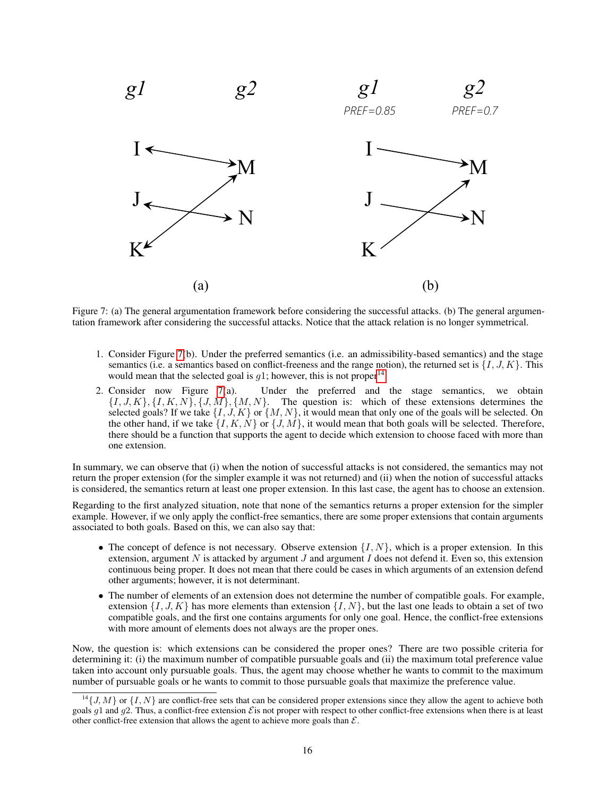

Figure 7: (a) The general argumentation framework before considering the successful attacks. (b) The general argumentation framework after considering the successful attacks. Notice that the attack relation is no longer symmetrical.

- <span id="page-15-0"></span>1. Consider Figure [7\(](#page-15-0)b). Under the preferred semantics (i.e. an admissibility-based semantics) and the stage semantics (i.e. a semantics based on conflict-freeness and the range notion), the returned set is  $\{I, J, K\}$ . This would mean that the selected goal is  $g1$ ; however, this is not proper<sup>[14](#page-15-1)</sup>.
- 2. Consider now Figure [7\(](#page-15-0)a). Under the preferred and the stage semantics, we obtain  $\{I, J, K\}, \{I, K, N\}, \{J, M\}, \{M, N\}.$  The question is: which of these extensions determines the selected goals? If we take  $\{I, J, K\}$  or  $\{M, N\}$ , it would mean that only one of the goals will be selected. On the other hand, if we take  $\{I, K, N\}$  or  $\{J, M\}$ , it would mean that both goals will be selected. Therefore, there should be a function that supports the agent to decide which extension to choose faced with more than one extension.

In summary, we can observe that (i) when the notion of successful attacks is not considered, the semantics may not return the proper extension (for the simpler example it was not returned) and (ii) when the notion of successful attacks is considered, the semantics return at least one proper extension. In this last case, the agent has to choose an extension.

Regarding to the first analyzed situation, note that none of the semantics returns a proper extension for the simpler example. However, if we only apply the conflict-free semantics, there are some proper extensions that contain arguments associated to both goals. Based on this, we can also say that:

- The concept of defence is not necessary. Observe extension  $\{I, N\}$ , which is a proper extension. In this extension, argument N is attacked by argument J and argument I does not defend it. Even so, this extension continuous being proper. It does not mean that there could be cases in which arguments of an extension defend other arguments; however, it is not determinant.
- The number of elements of an extension does not determine the number of compatible goals. For example, extension  $\{I, J, K\}$  has more elements than extension  $\{I, N\}$ , but the last one leads to obtain a set of two compatible goals, and the first one contains arguments for only one goal. Hence, the conflict-free extensions with more amount of elements does not always are the proper ones.

Now, the question is: which extensions can be considered the proper ones? There are two possible criteria for determining it: (i) the maximum number of compatible pursuable goals and (ii) the maximum total preference value taken into account only pursuable goals. Thus, the agent may choose whether he wants to commit to the maximum number of pursuable goals or he wants to commit to those pursuable goals that maximize the preference value.

<span id="page-15-1"></span><sup>&</sup>lt;sup>14</sup>{J, M} or {I, N} are conflict-free sets that can be considered proper extensions since they allow the agent to achieve both goals g1 and g2. Thus, a conflict-free extension  $\mathcal{E}$  is not proper with respect to other conflict-free extensions when there is at least other conflict-free extension that allows the agent to achieve more goals than  $\mathcal{E}$ .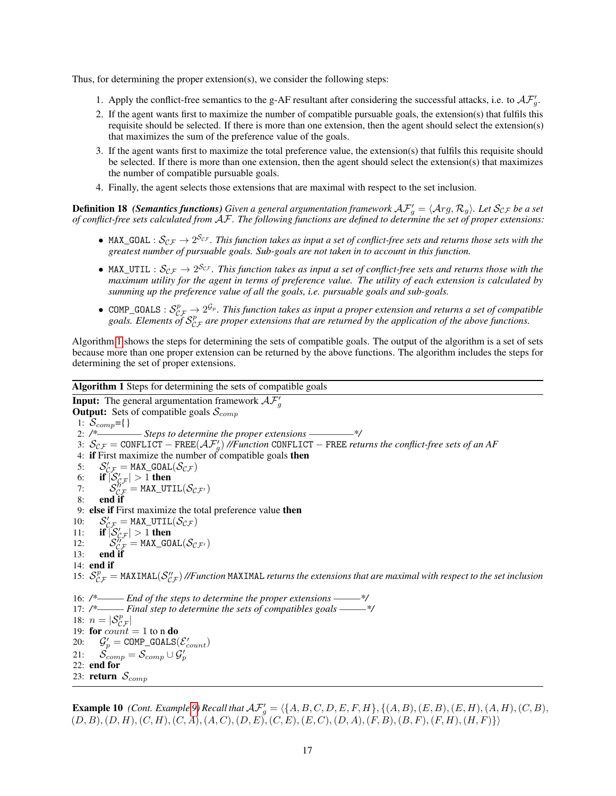Thus, for determining the proper extension(s), we consider the following steps:

- 1. Apply the conflict-free semantics to the g-AF resultant after considering the successful attacks, i.e. to  $A\mathcal{F}'_g$ .
- 2. If the agent wants first to maximize the number of compatible pursuable goals, the extension(s) that fulfils this requisite should be selected. If there is more than one extension, then the agent should select the extension(s) that maximizes the sum of the preference value of the goals.
- 3. If the agent wants first to maximize the total preference value, the extension(s) that fulfils this requisite should be selected. If there is more than one extension, then the agent should select the extension(s) that maximizes the number of compatible pursuable goals.
- 4. Finally, the agent selects those extensions that are maximal with respect to the set inclusion.

**Definition 18** (Semantics functions) Given a general argumentation framework  $A\mathcal{F}'_g = \langle Arg, R_g \rangle$ . Let  $S_{CF}$  be a set *of conflict-free sets calculated from* AF*. The following functions are defined to determine the set of proper extensions:*

- MAX\_GOAL :  $S_{CF} \to 2^{S_{CF}}$ . This function takes as input a set of conflict-free sets and returns those sets with the *greatest number of pursuable goals. Sub-goals are not taken in to account in this function.*
- MAX\_UTIL :  $S_{CF} \to 2^{S_{CF}}$ . This function takes as input a set of conflict-free sets and returns those with the *maximum utility for the agent in terms of preference value. The utility of each extension is calculated by summing up the preference value of all the goals, i.e. pursuable goals and sub-goals.*
- COMP\_GOALS :  $S^p_{\mathcal{CF}} \to 2^{\mathcal{G}_p}$ . This function takes as input a proper extension and returns a set of compatible goals. Elements of  $\mathcal{S}_{\mathcal{CF}}^p$  are proper extensions that are returned by the application of the above functions.

Algorithm [1](#page-16-0) shows the steps for determining the sets of compatible goals. The output of the algorithm is a set of sets because more than one proper extension can be returned by the above functions. The algorithm includes the steps for determining the set of proper extensions.

Algorithm 1 Steps for determining the sets of compatible goals

**Input:** The general argumentation framework  $\mathcal{AF}'_g$ **Output:** Sets of compatible goals  $\mathcal{S}_{comp}$ 1:  $S_{comp} = \{\}\$ 2: */\*————— Steps to determine the proper extensions —————\*/* 3:  $S_{\mathcal{CF}} = \text{CONFLICT} - \text{FREE}(\mathcal{AF}'_g)$  //Function CONFLICT – FREE returns the conflict-free sets of an AF 4: if First maximize the number of compatible goals then 5:  $S'_{\mathcal{CF}} = \text{MAX\_GOAL}(\mathcal{S}_{\mathcal{CF}})$ 6: if  $|\mathcal{S}'_{\mathcal{C}\mathcal{F}}| > 1$  then 7:  $S_{\mathcal{CF}}^{\mathcal{W}} = \text{MAX\_UTIL}(\mathcal{S}_{\mathcal{CF'}})$ 8: end if 9: else if First maximize the total preference value then  $10:$  $C_{\mathcal{L},\mathcal{F}}' = \texttt{MAX\_UTIL}(\mathcal{S}_{\mathcal{CF}})$ 11: if  $|\mathcal{S}'_{\mathcal{C}\mathcal{F}}| > 1$  then 12:  $S_{\mathcal{CF}}^{\mathcal{W}} = \text{MAX\_GOAL}(\mathcal{S}_{\mathcal{CF}})$ 13: end if 14: end if 15:  $S_{C\mathcal{F}}^p$  = MAXIMAL( $S_{C\mathcal{F}}''$ ) //Function MAXIMAL *returns the extensions that are maximal with respect to the set inclusion* 16: */\*——— End of the steps to determine the proper extensions ———\*/* 17: */\*——— Final step to determine the sets of compatibles goals ———\*/* 18:  $n = |\mathcal{S}_{\mathcal{CF}}^p|$ 19: for  $count = 1$  to n do 20:  $\mathcal{G}'_p = \mathtt{COMP\_GOLS}(\mathcal{E}'_{count})$ 21:  $\dot{\mathcal{S}_{comp}} = \mathcal{S}_{comp} \cup \mathcal{G}'_p$ 22: end for 23: return  $\mathcal{S}_{comm}$ 

<span id="page-16-1"></span><span id="page-16-0"></span>**Example 10** *(Cont. Example [9\)](#page-13-4) Recall that*  $A\mathcal{F}'_g = \langle \{A, B, C, D, E, F, H\}, \{(A, B), (E, B), (E, H), (A, H), (C, B),$  $(D, B), (D, H), (C, H), (C, A), (A, C), (D, E), (C, E), (E, C), (D, A), (F, B), (B, F), (F, H), (H, F)\}\$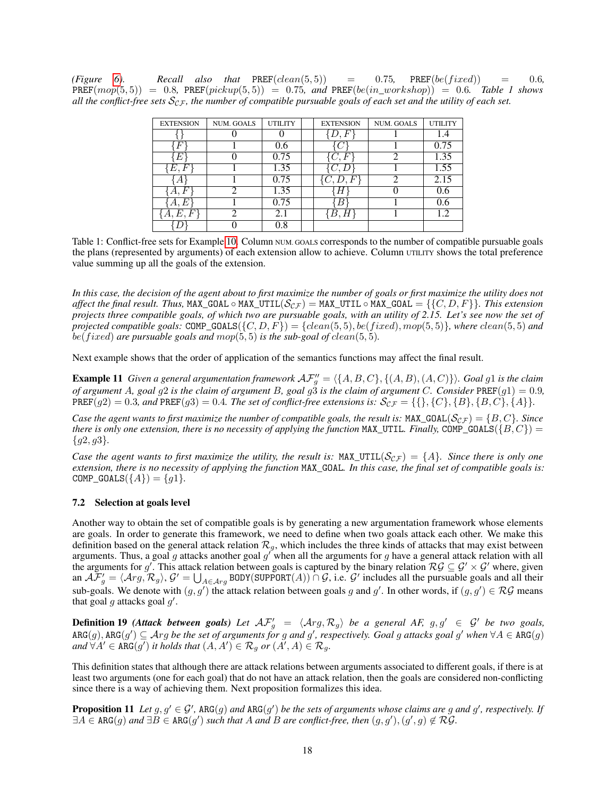$(Figure \quad 6)$  $(Figure \quad 6)$ . Recall also that  $PREF(clean(5, 5))$  = 0.75,  $PREF(befixed)$  = 0.6*,*  $PREF(mop(5, 5)) = 0.8$ , PREF(pickup(5, 5)) = 0.75*, and* PREF(be(in workshop)) = 0.6*.* Table 1 shows all the conflict-free sets  $S_{\mathcal{CF}}$ , the number of compatible pursuable goals of each set and the utility of each set.

| <b>EXTENSION</b> | <b>NUM. GOALS</b> | <b>UTILITY</b> | <b>EXTENSION</b> | <b>NUM. GOALS</b> | <b>UTILITY</b> |
|------------------|-------------------|----------------|------------------|-------------------|----------------|
|                  |                   |                |                  |                   | 1.4            |
|                  |                   | 0.6            |                  |                   | 0.75           |
| E                |                   | 0.75           | F                | ◠                 | 1.35           |
| Е.<br>F          |                   | 1.35           |                  |                   | 1.55           |
|                  |                   | 0.75           | F                | ∍                 | 2.15           |
| F<br>А.          |                   | 1.35           | H                |                   | 0.6            |
| E                |                   | 0.75           | к                |                   | 0.6            |
| F<br>E.<br>А,    |                   | 2.1            | ℸ                |                   | 1.2            |
|                  |                   | $0.8\,$        |                  |                   |                |

Table 1: Conflict-free sets for Example [10.](#page-16-1) Column NUM. GOALS corresponds to the number of compatible pursuable goals the plans (represented by arguments) of each extension allow to achieve. Column UTILITY shows the total preference value summing up all the goals of the extension.

*In this case, the decision of the agent about to first maximize the number of goals or first maximize the utility does not affect the final result. Thus,* MAX\_GOAL  $\circ$  MAX\_UTIL( $\mathcal{S}_{\mathcal{CF}}$ ) = MAX\_UTIL  $\circ$  MAX\_GOAL = {{ $C, D, F$ }}*. This extension projects three compatible goals, of which two are pursuable goals, with an utility of 2.15. Let's see now the set of projected compatible goals:* COMP\_GOALS( $\{C, D, F\}$ ) =  $\{clean(5, 5), bel(fixed), mop(5, 5)\}$ *, where clean*(5, 5) *and*  $be(fixed)$  *are pursuable goals and*  $mop(5, 5)$  *is the sub-goal of clean*(5,5).

Next example shows that the order of application of the semantics functions may affect the final result.

**Example 11** Given a general argumentation framework  $\mathcal{AF}_g'' = \langle \{A, B, C\}, \{(A, B), (A, C)\}\rangle$ . Goal g1 is the claim *of argument* A*, goal* g2 *is the claim of argument* B*, goal* g3 *is the claim of argument* C*. Consider* PREF(g1) = 0.9*,*  $PREF(g2)=0.3$ , and  $PREF(g3)=0.4$ . The set of conflict-free extensions is:  $\mathcal{S}_{\mathcal{CF}}=\{\{\},\{C\},\{B\},\{B,C\},\{A\}\}.$ 

*Case the agent wants to first maximize the number of compatible goals, the result is:*  $MAX_GGAL(S_{CF}) = \{B, C\}$ *. Since there is only one extension, there is no necessity of applying the function* MAX\_UTIL. Finally, COMP\_GOALS( $\{B, C\}$ ) = {g2, g3}*.*

*Case the agent wants to first maximize the utility, the result is:* MAX  $UTIL(S_{\mathcal{CF}}) = \{A\}$ *. Since there is only one extension, there is no necessity of applying the function* MAX*\_*GOAL*. In this case, the final set of compatible goals is:*  $COMP_GOALS({A}) = {g1}.$ 

#### 7.2 Selection at goals level

Another way to obtain the set of compatible goals is by generating a new argumentation framework whose elements are goals. In order to generate this framework, we need to define when two goals attack each other. We make this definition based on the general attack relation  $\mathcal{R}_g$ , which includes the three kinds of attacks that may exist between arguments. Thus, a goal g attacks another goal  $g'$  when all the arguments for g have a general attack relation with all the arguments for g'. This attack relation between goals is captured by the binary relation  $RG \subseteq G' \times G'$  where, given an  $\mathcal{AF}_g' = \langle \mathcal{A}rg, \mathcal{R}_g \rangle$ ,  $\mathcal{G}' = \bigcup_{A \in \mathcal{A}rg} \text{BODY}(\text{SUPPORT}(A)) \cap \mathcal{G}$ , i.e.  $\mathcal{G}'$  includes all the pursuable goals and all their sub-goals. We denote with  $(g, g')$  the attack relation between goals g and g'. In other words, if  $(g, g') \in \mathcal{RG}$  means that goal  $g$  attacks goal  $g'$ .

<span id="page-17-0"></span>**Definition 19** (Attack between goals) Let  $\mathcal{AF}'_g = \langle \mathcal{A}rg, \mathcal{R}_g \rangle$  be a general AF,  $g, g' \in \mathcal{G}'$  be two goals,  $\texttt{ARG}(g), \texttt{ARG}(g') \subseteq \mathcal{A}$ rg be the set of arguments for g and g', respectively. Goal g attacks goal g' when  $\forall A \in \texttt{ARG}(g)$  $\forall A' \in \text{ARG}(g')$  *it holds that*  $(A, A') \in \mathcal{R}_g$  *or*  $(A', A) \in \mathcal{R}_g$ *.* 

This definition states that although there are attack relations between arguments associated to different goals, if there is at least two arguments (one for each goal) that do not have an attack relation, then the goals are considered non-conflicting since there is a way of achieving them. Next proposition formalizes this idea.

<span id="page-17-1"></span>**Proposition 11** Let  $g, g' \in \mathcal{G}'$ , ARG $(g)$  and ARG $(g')$  be the sets of arguments whose claims are g and g', respectively. If  $\exists A \in \texttt{ARG}(g)$  and  $\exists B \in \texttt{ARG}(g')$  such that  $A$  and  $B$  are conflict-free, then  $(g, g'), (g', g) \notin \mathcal{RG}.$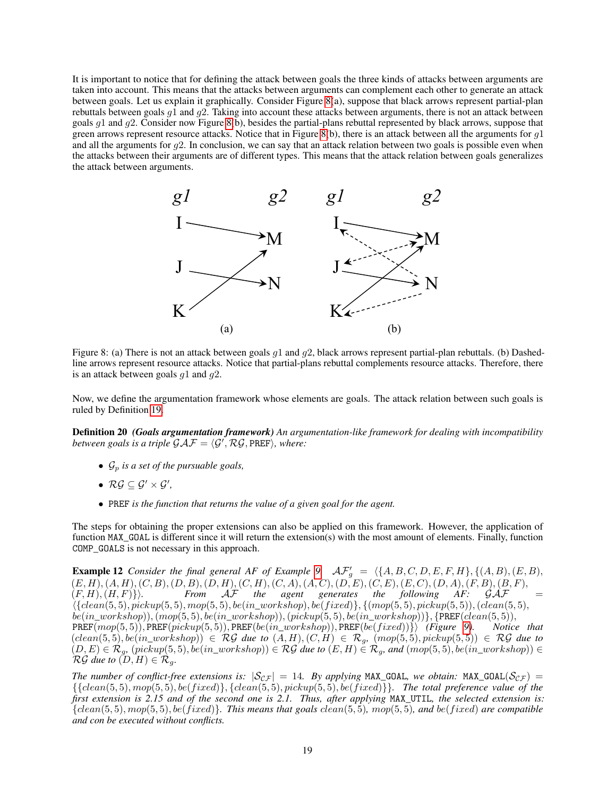It is important to notice that for defining the attack between goals the three kinds of attacks between arguments are taken into account. This means that the attacks between arguments can complement each other to generate an attack between goals. Let us explain it graphically. Consider Figure [8\(](#page-18-0)a), suppose that black arrows represent partial-plan rebuttals between goals  $q1$  and  $q2$ . Taking into account these attacks between arguments, there is not an attack between goals g1 and g2. Consider now Figure [8\(](#page-18-0)b), besides the partial-plans rebuttal represented by black arrows, suppose that green arrows represent resource attacks. Notice that in Figure [8\(](#page-18-0)b), there is an attack between all the arguments for q1 and all the arguments for  $g2$ . In conclusion, we can say that an attack relation between two goals is possible even when the attacks between their arguments are of different types. This means that the attack relation between goals generalizes the attack between arguments.

<span id="page-18-0"></span>

Figure 8: (a) There is not an attack between goals q1 and q2, black arrows represent partial-plan rebuttals. (b) Dashedline arrows represent resource attacks. Notice that partial-plans rebuttal complements resource attacks. Therefore, there is an attack between goals  $q1$  and  $q2$ .

Now, we define the argumentation framework whose elements are goals. The attack relation between such goals is ruled by Definition [19.](#page-17-0)

Definition 20 *(Goals argumentation framework) An argumentation-like framework for dealing with incompatibility* between goals is a triple  $\mathcal{GAF} = \langle \mathcal{G}', \mathcal{RG}, \text{PREF} \rangle$ , where:

- G<sup>p</sup> *is a set of the pursuable goals,*
- $\bullet \ \mathcal{RG} \subseteq \mathcal{G}' \times \mathcal{G}'.$
- PREF *is the function that returns the value of a given goal for the agent.*

The steps for obtaining the proper extensions can also be applied on this framework. However, the application of function MAX GOAL is different since it will return the extension(s) with the most amount of elements. Finally, function COMP\_GOALS is not necessary in this approach.

<span id="page-18-1"></span>**Example 12** Consider the final general AF of Example [9.](#page-13-4)  $\mathcal{AF}'_g = \langle \{A, B, C, D, E, F, H\}, \{(A, B), (E, B),$  $(E, H), (A, H), (C, B), (D, B), (D, H), (C, H), (C, A), (A, C), (D, E), (C, E), (E, C), (D, A), (F, B), (B, F),$  $(F, H), (H, F)\}\rangle$ *. From*  $\mathcal{AF}$  *the agent generates the following AF:*  $\mathcal{GAF}$  *=*  ${C}$ (clean(5, 5), pickup(5, 5), mop(5, 5), be(in*\_workshop*), be(fixed)}, {(mop(5, 5), pickup(5, 5)), (clean(5, 5), be(in*\_*workshop)),(mop(5, 5), be(in*\_*workshop)),(pickup(5, 5), be(in*\_*workshop))}, {PREF(clean(5, 5)),  $PREF(mop(5, 5)), PREF(pickup(5, 5)), PREF(be(in_workshop)), PREF(be(fixed)))\n\Big\}$  *(Figure [9\)](#page-19-1).*  $(clean(5, 5), be(in\_workshop)) \in \mathcal{RG}$  due to  $(A, H), (C, H) \in \mathcal{R}_g$ ,  $(mop(5, 5), pickup(5, 5)) \in \mathcal{RG}$  due to (D, E) ∈ Rg*,* (pickup(5, 5), be(in*\_*workshop)) ∈ RG *due to* (E, H) ∈ Rg*, and* (mop(5, 5), be(in*\_*workshop)) ∈  $\mathcal{RG}$  due to  $(D, H) \in \mathcal{R}_g$ .

*The number of conflict-free extensions is:*  $|\mathcal{S}_{\mathcal{CF}}| = 14$ *. By applying* MAX\_GOAL, we obtain: MAX\_GOAL( $\mathcal{S}_{\mathcal{CF}}$ ) =  ${Gean(5, 5), mop(5, 5), be(fixed)}$ ,  ${clean(5, 5), pickup(5, 5), be(fixed)}$ . The total preference value of the *first extension is 2.15 and of the second one is 2.1. Thus, after applying* MAX*\_*UTIL*, the selected extension is:*  ${dean}(5, 5)$ ,  $mop(5, 5)$ ,  $be(fixed)$ *. This means that goals*  $clean(5, 5)$ *,*  $mop(5, 5)$ *, and*  $be(fixed)$  *are compatible and con be executed without conflicts.*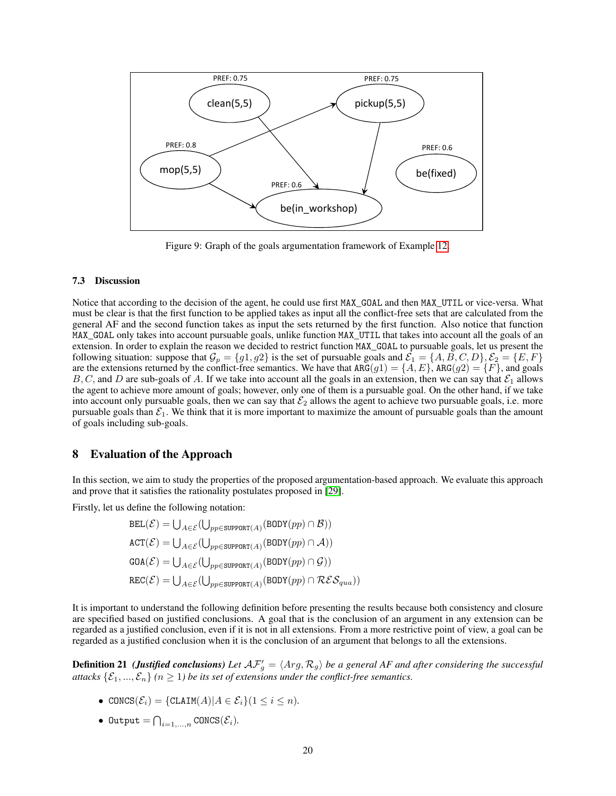

<span id="page-19-1"></span>Figure 9: Graph of the goals argumentation framework of Example [12.](#page-18-1)

#### 7.3 Discussion

Notice that according to the decision of the agent, he could use first MAX\_GOAL and then MAX\_UTIL or vice-versa. What must be clear is that the first function to be applied takes as input all the conflict-free sets that are calculated from the general AF and the second function takes as input the sets returned by the first function. Also notice that function MAX\_GOAL only takes into account pursuable goals, unlike function MAX\_UTIL that takes into account all the goals of an extension. In order to explain the reason we decided to restrict function MAX\_GOAL to pursuable goals, let us present the following situation: suppose that  $\mathcal{G}_p = \{g1, g2\}$  is the set of pursuable goals and  $\mathcal{E}_1 = \{A, B, C, D\}, \mathcal{E}_2 = \{E, F\}$ are the extensions returned by the conflict-free semantics. We have that  $\text{ARG}(g1) = \{A, E\}$ ,  $\text{ARG}(g2) = \{F\}$ , and goals B, C, and D are sub-goals of A. If we take into account all the goals in an extension, then we can say that  $\mathcal{E}_1$  allows the agent to achieve more amount of goals; however, only one of them is a pursuable goal. On the other hand, if we take into account only pursuable goals, then we can say that  $\mathcal{E}_2$  allows the agent to achieve two pursuable goals, i.e. more pursuable goals than  $\mathcal{E}_1$ . We think that it is more important to maximize the amount of pursuable goals than the amount of goals including sub-goals.

#### <span id="page-19-0"></span>8 Evaluation of the Approach

In this section, we aim to study the properties of the proposed argumentation-based approach. We evaluate this approach and prove that it satisfies the rationality postulates proposed in [\[29\]](#page-29-11).

Firstly, let us define the following notation:

$$
BEL(\mathcal{E}) = \bigcup_{A \in \mathcal{E}} (\bigcup_{pp \in \text{SUPPORT}(A)} (\text{BODY}(pp) \cap \mathcal{B}))
$$
  
ACT( $\mathcal{E}$ ) =  $\bigcup_{A \in \mathcal{E}} (\bigcup_{pp \in \text{SUPPORT}(A)} (\text{BODY}(pp) \cap \mathcal{A}))$   
GOA( $\mathcal{E}$ ) =  $\bigcup_{A \in \mathcal{E}} (\bigcup_{pp \in \text{SUPPORT}(A)} (\text{BODY}(pp) \cap \mathcal{G}))$   
REC( $\mathcal{E}$ ) =  $\bigcup_{A \in \mathcal{E}} (\bigcup_{pp \in \text{SUPPORT}(A)} (\text{BODY}(pp) \cap \mathcal{RES}_{qua}))$ 

It is important to understand the following definition before presenting the results because both consistency and closure are specified based on justified conclusions. A goal that is the conclusion of an argument in any extension can be regarded as a justified conclusion, even if it is not in all extensions. From a more restrictive point of view, a goal can be regarded as a justified conclusion when it is the conclusion of an argument that belongs to all the extensions.

**Definition 21** (*Justified conclusions*) Let  $\mathcal{AF}_g' = \langle Arg, R_g \rangle$  be a general AF and after considering the successful *attacks*  $\{\mathcal{E}_1, ..., \mathcal{E}_n\}$  ( $n \geq 1$ ) be its set of extensions under the conflict-free semantics.

- CONCS $(\mathcal{E}_i) = {\text{CLAIM}(A) | A \in \mathcal{E}_i} \setminus (1 \leq i \leq n)$ .
- $\bullet$  Output  $= \bigcap_{i=1,...,n} \texttt{CONCS}(\mathcal{E}_i).$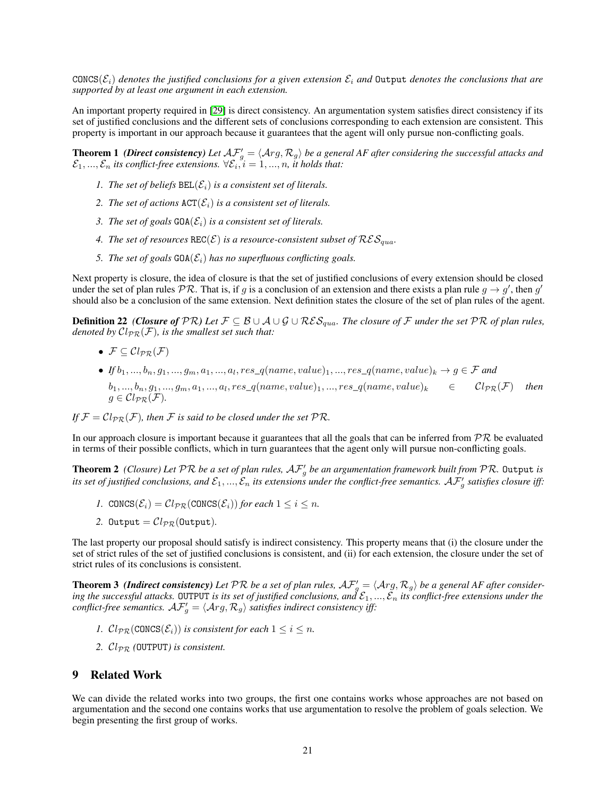CONCS( $\mathcal{E}_i$ ) denotes the justified conclusions for a given extension  $\mathcal{E}_i$  and Output denotes the conclusions that are *supported by at least one argument in each extension.*

An important property required in [\[29\]](#page-29-11) is direct consistency. An argumentation system satisfies direct consistency if its set of justified conclusions and the different sets of conclusions corresponding to each extension are consistent. This property is important in our approach because it guarantees that the agent will only pursue non-conflicting goals.

<span id="page-20-1"></span>**Theorem 1** (Direct consistency) Let  $\mathcal{AF}_g' = \langle Arg, R_g \rangle$  be a general AF after considering the successful attacks and  $\mathcal{E}_1, ..., \mathcal{E}_n$  its conflict-free extensions.  $\forall \mathcal{E}_i, i = 1, ..., n$ , it holds that:

- *1. The set of beliefs*  $BEL(\mathcal{E}_i)$  *is a consistent set of literals.*
- 2. The set of actions  $\text{ACT}(\mathcal{E}_i)$  *is a consistent set of literals.*
- 3. The set of goals  $GOA(\mathcal{E}_i)$  *is a consistent set of literals.*
- 4. The set of resources  $\text{REC}(\mathcal{E})$  *is a resource-consistent subset of*  $\mathcal{RES}_{qua}$ *.*
- 5. The set of goals  $GDA(\mathcal{E}_i)$  has no superfluous conflicting goals.

Next property is closure, the idea of closure is that the set of justified conclusions of every extension should be closed under the set of plan rules  $PR$ . That is, if g is a conclusion of an extension and there exists a plan rule  $g \to g'$ , then  $g'$ should also be a conclusion of the same extension. Next definition states the closure of the set of plan rules of the agent.

**Definition 22** *(Closure of PR) Let*  $\mathcal{F} \subseteq \mathcal{B} \cup \mathcal{A} \cup \mathcal{G} \cup \mathcal{RES}_{qua}$ *. The closure of*  $\mathcal{F}$  *under the set* PR *of plan rules, denoted by*  $Cl_{PR}(\mathcal{F})$ *, is the smallest set such that:* 

- $\mathcal{F} \subset \mathcal{C}l_{\mathcal{PR}}(\mathcal{F})$
- If  $b_1, ..., b_n, g_1, ..., g_m, a_1, ..., a_l, res_q(name, value)_1, ..., res_q(name, value)_k \rightarrow g \in \mathcal{F}$  and  $b_1,...,b_n,g_1,...,g_m,a_1,...,a_l,res\_q(name,value)_1,...,res\_q(name,value)_k$   $\in$   $\mathcal{C}l_{\mathcal{PR}}(\mathcal{F})$  then  $g \in \mathcal{C}l_{\mathcal{PR}}(\mathcal{F}).$
- *If*  $\mathcal{F} = \mathcal{C}l_{\mathcal{PR}}(\mathcal{F})$ *, then*  $\mathcal F$  *is said to be closed under the set*  $\mathcal{PR}$ *.*

In our approach closure is important because it guarantees that all the goals that can be inferred from  $PR$  be evaluated in terms of their possible conflicts, which in turn guarantees that the agent only will pursue non-conflicting goals.

<span id="page-20-2"></span>**Theorem 2** *(Closure)* Let  $PR$  *be a set of plan rules,*  $AF'_{g}$  *be an argumentation framework built from*  $PR$ *.* Output *is* its set of justified conclusions, and  $\mathcal{E}_1,...,\mathcal{E}_n$  its extensions under the conflict-free semantics.  $\mathcal{AF}_g'$  satisfies closure iff:

- *1.* CONCS( $\mathcal{E}_i$ ) =  $\mathcal{C}l_{PR}(\text{CONCS}(\mathcal{E}_i))$  *for each*  $1 \leq i \leq n$ .
- 2. Output =  $\mathcal{C}l_{PR}$  (Output).

The last property our proposal should satisfy is indirect consistency. This property means that (i) the closure under the set of strict rules of the set of justified conclusions is consistent, and (ii) for each extension, the closure under the set of strict rules of its conclusions is consistent.

<span id="page-20-3"></span>**Theorem 3** (Indirect consistency) Let PR be a set of plan rules,  $A\mathcal{F}'_g = \langle Arg, R_g \rangle$  be a general AF after consider $i$ ng the successful attacks. <code>OUTPUT</code> is its set of justified conclusions, and  $\mathcal{E}_1,...,\mathcal{E}_n$  its conflict-free extensions under the *conflict-free semantics.*  $\mathcal{AF}_{g}' = \langle \mathcal{A}rg, \mathcal{R}_{g} \rangle$  *satisfies indirect consistency iff:* 

- *1.*  $Cl_{\mathcal{PR}}(\text{CONCS}(\mathcal{E}_i))$  *is consistent for each*  $1 \leq i \leq n$ *.*
- *2.*  $Cl_{PR}$  (OUTPUT) is consistent.

# <span id="page-20-0"></span>9 Related Work

We can divide the related works into two groups, the first one contains works whose approaches are not based on argumentation and the second one contains works that use argumentation to resolve the problem of goals selection. We begin presenting the first group of works.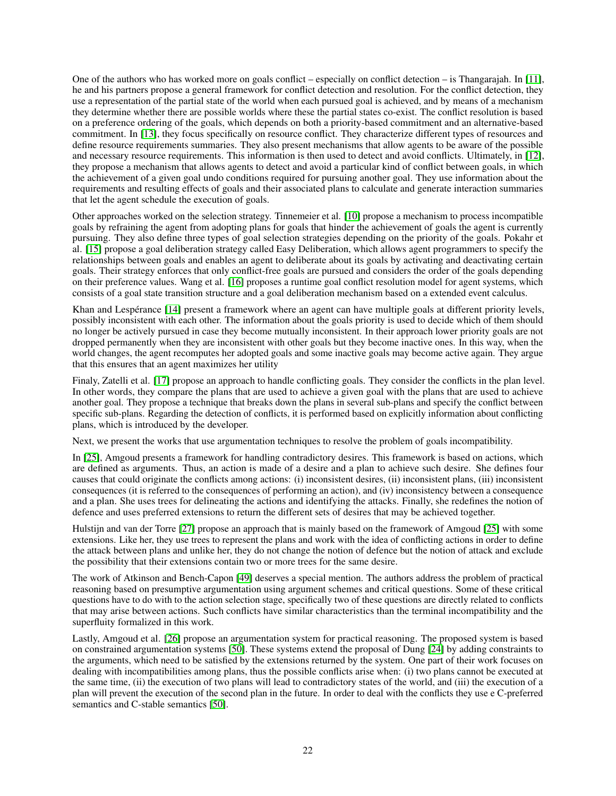One of the authors who has worked more on goals conflict – especially on conflict detection – is Thangarajah. In [\[11\]](#page-28-8), he and his partners propose a general framework for conflict detection and resolution. For the conflict detection, they use a representation of the partial state of the world when each pursued goal is achieved, and by means of a mechanism they determine whether there are possible worlds where these the partial states co-exist. The conflict resolution is based on a preference ordering of the goals, which depends on both a priority-based commitment and an alternative-based commitment. In [\[13\]](#page-28-10), they focus specifically on resource conflict. They characterize different types of resources and define resource requirements summaries. They also present mechanisms that allow agents to be aware of the possible and necessary resource requirements. This information is then used to detect and avoid conflicts. Ultimately, in [\[12\]](#page-28-9), they propose a mechanism that allows agents to detect and avoid a particular kind of conflict between goals, in which the achievement of a given goal undo conditions required for pursuing another goal. They use information about the requirements and resulting effects of goals and their associated plans to calculate and generate interaction summaries that let the agent schedule the execution of goals.

Other approaches worked on the selection strategy. Tinnemeier et al. [\[10\]](#page-28-7) propose a mechanism to process incompatible goals by refraining the agent from adopting plans for goals that hinder the achievement of goals the agent is currently pursuing. They also define three types of goal selection strategies depending on the priority of the goals. Pokahr et al. [\[15\]](#page-28-12) propose a goal deliberation strategy called Easy Deliberation, which allows agent programmers to specify the relationships between goals and enables an agent to deliberate about its goals by activating and deactivating certain goals. Their strategy enforces that only conflict-free goals are pursued and considers the order of the goals depending on their preference values. Wang et al. [\[16\]](#page-28-13) proposes a runtime goal conflict resolution model for agent systems, which consists of a goal state transition structure and a goal deliberation mechanism based on a extended event calculus.

Khan and Lespérance [\[14\]](#page-28-11) present a framework where an agent can have multiple goals at different priority levels, possibly inconsistent with each other. The information about the goals priority is used to decide which of them should no longer be actively pursued in case they become mutually inconsistent. In their approach lower priority goals are not dropped permanently when they are inconsistent with other goals but they become inactive ones. In this way, when the world changes, the agent recomputes her adopted goals and some inactive goals may become active again. They argue that this ensures that an agent maximizes her utility

Finaly, Zatelli et al. [\[17\]](#page-28-14) propose an approach to handle conflicting goals. They consider the conflicts in the plan level. In other words, they compare the plans that are used to achieve a given goal with the plans that are used to achieve another goal. They propose a technique that breaks down the plans in several sub-plans and specify the conflict between specific sub-plans. Regarding the detection of conflicts, it is performed based on explicitly information about conflicting plans, which is introduced by the developer.

Next, we present the works that use argumentation techniques to resolve the problem of goals incompatibility.

In [\[25\]](#page-29-7), Amgoud presents a framework for handling contradictory desires. This framework is based on actions, which are defined as arguments. Thus, an action is made of a desire and a plan to achieve such desire. She defines four causes that could originate the conflicts among actions: (i) inconsistent desires, (ii) inconsistent plans, (iii) inconsistent consequences (it is referred to the consequences of performing an action), and (iv) inconsistency between a consequence and a plan. She uses trees for delineating the actions and identifying the attacks. Finally, she redefines the notion of defence and uses preferred extensions to return the different sets of desires that may be achieved together.

Hulstijn and van der Torre [\[27\]](#page-29-9) propose an approach that is mainly based on the framework of Amgoud [\[25\]](#page-29-7) with some extensions. Like her, they use trees to represent the plans and work with the idea of conflicting actions in order to define the attack between plans and unlike her, they do not change the notion of defence but the notion of attack and exclude the possibility that their extensions contain two or more trees for the same desire.

The work of Atkinson and Bench-Capon [\[49\]](#page-30-9) deserves a special mention. The authors address the problem of practical reasoning based on presumptive argumentation using argument schemes and critical questions. Some of these critical questions have to do with to the action selection stage, specifically two of these questions are directly related to conflicts that may arise between actions. Such conflicts have similar characteristics than the terminal incompatibility and the superfluity formalized in this work.

Lastly, Amgoud et al. [\[26\]](#page-29-8) propose an argumentation system for practical reasoning. The proposed system is based on constrained argumentation systems [\[50\]](#page-30-10). These systems extend the proposal of Dung [\[24\]](#page-29-6) by adding constraints to the arguments, which need to be satisfied by the extensions returned by the system. One part of their work focuses on dealing with incompatibilities among plans, thus the possible conflicts arise when: (i) two plans cannot be executed at the same time, (ii) the execution of two plans will lead to contradictory states of the world, and (iii) the execution of a plan will prevent the execution of the second plan in the future. In order to deal with the conflicts they use e C-preferred semantics and C-stable semantics [\[50\]](#page-30-10).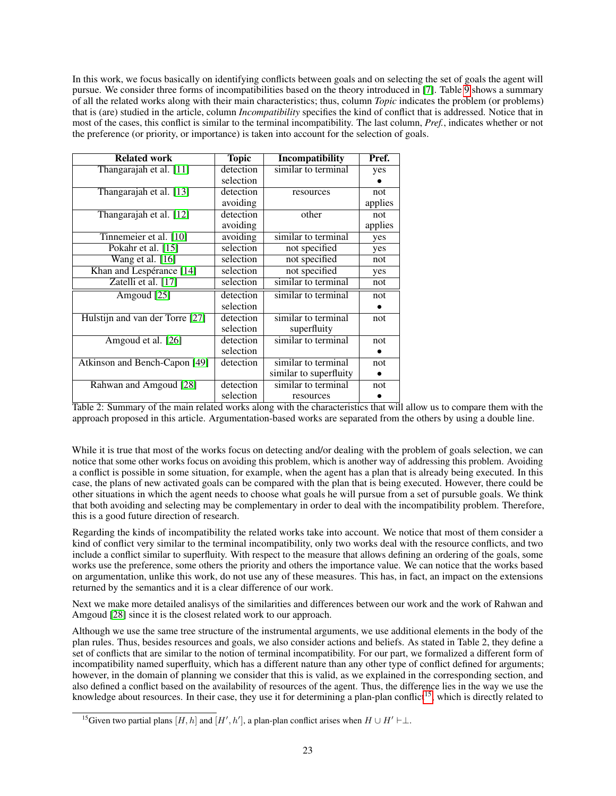In this work, we focus basically on identifying conflicts between goals and on selecting the set of goals the agent will pursue. We consider three forms of incompatibilities based on the theory introduced in [\[7\]](#page-28-3). Table [9](#page-20-0) shows a summary of all the related works along with their main characteristics; thus, column *Topic* indicates the problem (or problems) that is (are) studied in the article, column *Incompatibility* specifies the kind of conflict that is addressed. Notice that in most of the cases, this conflict is similar to the terminal incompatibility. The last column, *Pref.*, indicates whether or not the preference (or priority, or importance) is taken into account for the selection of goals.

| <b>Related work</b>             | <b>Topic</b> | Incompatibility        | Pref.   |
|---------------------------------|--------------|------------------------|---------|
| Thangarajah et al. [11]         | detection    | similar to terminal    | yes     |
|                                 | selection    |                        |         |
| Thangarajah et al. [13]         | detection    | resources              | not     |
|                                 | avoiding     |                        | applies |
| Thangarajah et al. [12]         | detection    | other                  | not     |
|                                 | avoiding     |                        | applies |
| Tinnemeier et al. [10]          | avoiding     | similar to terminal    | yes     |
| Pokahr et al. [15]              | selection    | not specified          | yes     |
| Wang et al. $[16]$              | selection    | not specified          | not     |
| Khan and Lespérance [14]        | selection    | not specified          | yes     |
| Zatelli et al. [17]             | selection    | similar to terminal    | not     |
| Amgoud [25]                     | detection    | similar to terminal    | not     |
|                                 | selection    |                        |         |
| Hulstijn and van der Torre [27] | detection    | similar to terminal    | not     |
|                                 | selection    | superfluity            |         |
| Amgoud et al. [26]              | detection    | similar to terminal    | not     |
|                                 | selection    |                        |         |
| Atkinson and Bench-Capon [49]   | detection    | similar to terminal    | not     |
|                                 |              | similar to superfluity |         |
| Rahwan and Amgoud [28]          | detection    | similar to terminal    | not     |
|                                 | selection    | resources              |         |

Table 2: Summary of the main related works along with the characteristics that will allow us to compare them with the approach proposed in this article. Argumentation-based works are separated from the others by using a double line.

While it is true that most of the works focus on detecting and/or dealing with the problem of goals selection, we can notice that some other works focus on avoiding this problem, which is another way of addressing this problem. Avoiding a conflict is possible in some situation, for example, when the agent has a plan that is already being executed. In this case, the plans of new activated goals can be compared with the plan that is being executed. However, there could be other situations in which the agent needs to choose what goals he will pursue from a set of pursuble goals. We think that both avoiding and selecting may be complementary in order to deal with the incompatibility problem. Therefore, this is a good future direction of research.

Regarding the kinds of incompatibility the related works take into account. We notice that most of them consider a kind of conflict very similar to the terminal incompatibility, only two works deal with the resource conflicts, and two include a conflict similar to superfluity. With respect to the measure that allows defining an ordering of the goals, some works use the preference, some others the priority and others the importance value. We can notice that the works based on argumentation, unlike this work, do not use any of these measures. This has, in fact, an impact on the extensions returned by the semantics and it is a clear difference of our work.

Next we make more detailed analisys of the similarities and differences between our work and the work of Rahwan and Amgoud [\[28\]](#page-29-10) since it is the closest related work to our approach.

Although we use the same tree structure of the instrumental arguments, we use additional elements in the body of the plan rules. Thus, besides resources and goals, we also consider actions and beliefs. As stated in Table 2, they define a set of conflicts that are similar to the notion of terminal incompatibility. For our part, we formalized a different form of incompatibility named superfluity, which has a different nature than any other type of conflict defined for arguments; however, in the domain of planning we consider that this is valid, as we explained in the corresponding section, and also defined a conflict based on the availability of resources of the agent. Thus, the difference lies in the way we use the knowledge about resources. In their case, they use it for determining a plan-plan conflict<sup>[15](#page-22-0)</sup>, which is directly related to

<span id="page-22-0"></span><sup>&</sup>lt;sup>15</sup>Given two partial plans [H, h] and [H', h'], a plan-plan conflict arises when  $H \cup H' \vdash \perp$ .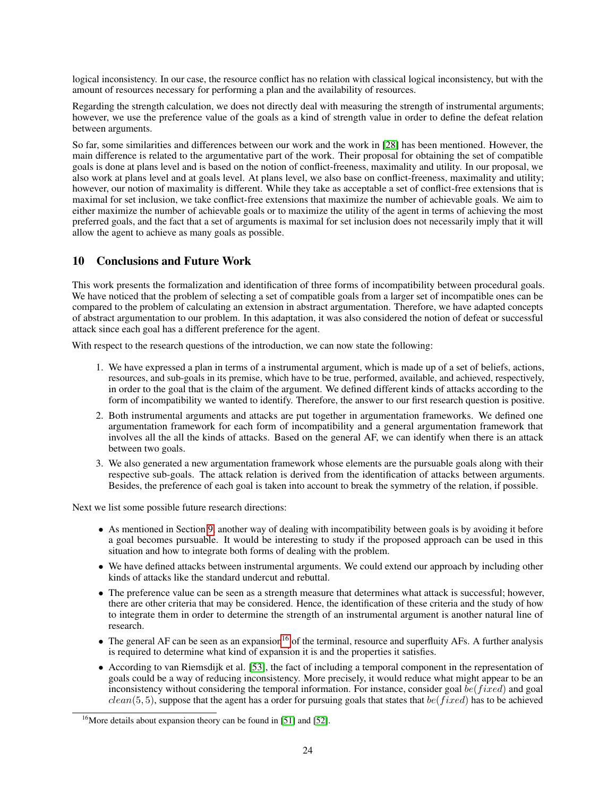logical inconsistency. In our case, the resource conflict has no relation with classical logical inconsistency, but with the amount of resources necessary for performing a plan and the availability of resources.

Regarding the strength calculation, we does not directly deal with measuring the strength of instrumental arguments; however, we use the preference value of the goals as a kind of strength value in order to define the defeat relation between arguments.

So far, some similarities and differences between our work and the work in [\[28\]](#page-29-10) has been mentioned. However, the main difference is related to the argumentative part of the work. Their proposal for obtaining the set of compatible goals is done at plans level and is based on the notion of conflict-freeness, maximality and utility. In our proposal, we also work at plans level and at goals level. At plans level, we also base on conflict-freeness, maximality and utility; however, our notion of maximality is different. While they take as acceptable a set of conflict-free extensions that is maximal for set inclusion, we take conflict-free extensions that maximize the number of achievable goals. We aim to either maximize the number of achievable goals or to maximize the utility of the agent in terms of achieving the most preferred goals, and the fact that a set of arguments is maximal for set inclusion does not necessarily imply that it will allow the agent to achieve as many goals as possible.

# <span id="page-23-0"></span>10 Conclusions and Future Work

This work presents the formalization and identification of three forms of incompatibility between procedural goals. We have noticed that the problem of selecting a set of compatible goals from a larger set of incompatible ones can be compared to the problem of calculating an extension in abstract argumentation. Therefore, we have adapted concepts of abstract argumentation to our problem. In this adaptation, it was also considered the notion of defeat or successful attack since each goal has a different preference for the agent.

With respect to the research questions of the introduction, we can now state the following:

- 1. We have expressed a plan in terms of a instrumental argument, which is made up of a set of beliefs, actions, resources, and sub-goals in its premise, which have to be true, performed, available, and achieved, respectively, in order to the goal that is the claim of the argument. We defined different kinds of attacks according to the form of incompatibility we wanted to identify. Therefore, the answer to our first research question is positive.
- 2. Both instrumental arguments and attacks are put together in argumentation frameworks. We defined one argumentation framework for each form of incompatibility and a general argumentation framework that involves all the all the kinds of attacks. Based on the general AF, we can identify when there is an attack between two goals.
- 3. We also generated a new argumentation framework whose elements are the pursuable goals along with their respective sub-goals. The attack relation is derived from the identification of attacks between arguments. Besides, the preference of each goal is taken into account to break the symmetry of the relation, if possible.

Next we list some possible future research directions:

- As mentioned in Section [9,](#page-20-0) another way of dealing with incompatibility between goals is by avoiding it before a goal becomes pursuable. It would be interesting to study if the proposed approach can be used in this situation and how to integrate both forms of dealing with the problem.
- We have defined attacks between instrumental arguments. We could extend our approach by including other kinds of attacks like the standard undercut and rebuttal.
- The preference value can be seen as a strength measure that determines what attack is successful; however, there are other criteria that may be considered. Hence, the identification of these criteria and the study of how to integrate them in order to determine the strength of an instrumental argument is another natural line of research.
- $\bullet$  The general AF can be seen as an expansion<sup>[16](#page-23-1)</sup> of the terminal, resource and superfluity AFs. A further analysis is required to determine what kind of expansion it is and the properties it satisfies.
- According to van Riemsdijk et al. [\[53\]](#page-30-11), the fact of including a temporal component in the representation of goals could be a way of reducing inconsistency. More precisely, it would reduce what might appear to be an inconsistency without considering the temporal information. For instance, consider goal  $be(fixed)$  and goal  $clean(5, 5)$ , suppose that the agent has a order for pursuing goals that states that  $be(fixed)$  has to be achieved

<span id="page-23-1"></span><sup>&</sup>lt;sup>16</sup>More details about expansion theory can be found in [\[51\]](#page-30-12) and [\[52\]](#page-30-13).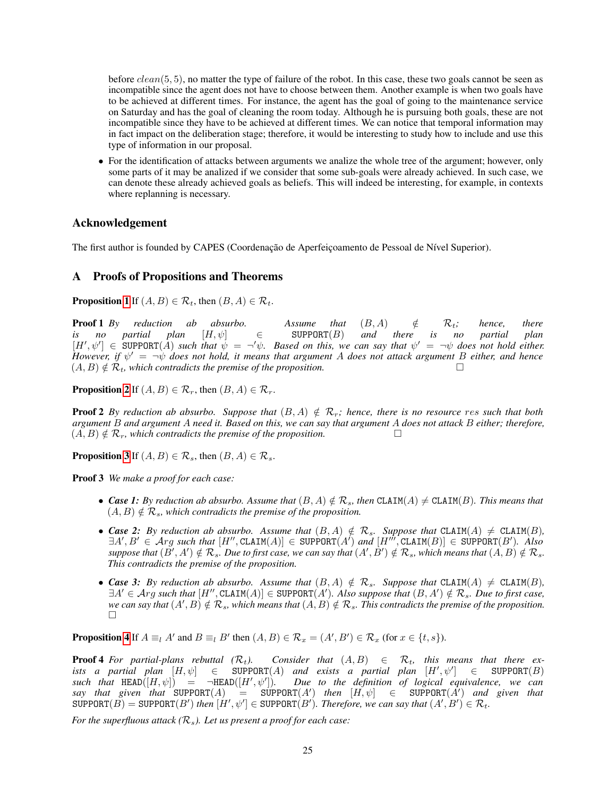before  $clean(5, 5)$ , no matter the type of failure of the robot. In this case, these two goals cannot be seen as incompatible since the agent does not have to choose between them. Another example is when two goals have to be achieved at different times. For instance, the agent has the goal of going to the maintenance service on Saturday and has the goal of cleaning the room today. Although he is pursuing both goals, these are not incompatible since they have to be achieved at different times. We can notice that temporal information may in fact impact on the deliberation stage; therefore, it would be interesting to study how to include and use this type of information in our proposal.

• For the identification of attacks between arguments we analize the whole tree of the argument; however, only some parts of it may be analized if we consider that some sub-goals were already achieved. In such case, we can denote these already achieved goals as beliefs. This will indeed be interesting, for example, in contexts where replanning is necessary.

## Acknowledgement

The first author is founded by CAPES (Coordenação de Aperfeiçoamento de Pessoal de Nível Superior).

# A Proofs of Propositions and Theorems

**Proposition [1](#page-8-2)** If  $(A, B) \in \mathcal{R}_t$ , then  $(B, A) \in \mathcal{R}_t$ .

**Proof 1** By reduction ab absurbo. Assume that  $(B, A)$   $\notin \mathcal{R}_t$ ; hence, there *is no partial plan* [H, ψ] ∈ SUPPORT(B) *and there is no partial plan*  $[H',\psi'] \in \text{SUPPORT}(\hat{A})$  such that  $\psi = \neg \psi$ . Based on this, we can say that  $\psi' = \neg \psi$  does not hold either. *However, if* ψ <sup>0</sup> = ¬ψ *does not hold, it means that argument* A *does not attack argument* B *either, and hence*  $(A, B) \notin \mathcal{R}_t$ , which contradicts the premise of the proposition.

**Proposition [2](#page-10-0)** If  $(A, B) \in \mathcal{R}_r$ , then  $(B, A) \in \mathcal{R}_r$ .

**Proof 2** By reduction ab absurbo. Suppose that  $(B, A) \notin \mathcal{R}_r$ ; hence, there is no resource res such that both *argument* B *and argument* A *need it. Based on this, we can say that argument* A *does not attack* B *either; therefore,*  $(A, B) \notin \mathcal{R}_r$ , which contradicts the premise of the proposition.

**Proposition [3](#page-11-4)** If  $(A, B) \in \mathcal{R}_s$ , then  $(B, A) \in \mathcal{R}_s$ .

Proof 3 *We make a proof for each case:*

- *Case 1:* By reduction ab absurbo. Assume that  $(B, A) \notin \mathcal{R}_s$ , then CLAIM $(A) \neq$  CLAIM $(B)$ *. This means that*  $(A, B) \notin \mathcal{R}_s$ , which contradicts the premise of the proposition.
- *Case 2: By reduction ab absurbo.* Assume that  $(B, A) \notin \mathcal{R}_s$ . Suppose that CLAIM(A)  $\neq$  CLAIM(B),  $\exists A', B' \in \mathcal{A}$ rg such that  $[H'', \text{CLAIM}(A)] \in \text{SUPPORT}(A')$  and  $[H''', \text{CLAIM}(B)] \in \text{SUPPORT}(B')$ . Also  $suppose that$   $(B', A') \notin \mathcal{R}_s$ . Due to first case, we can say that  $(A', B') \notin \mathcal{R}_s$ , which means that  $(A, B) \notin \mathcal{R}_s$ . *This contradicts the premise of the proposition.*
- Case 3: By reduction ab absurbo. Assume that  $(B, A) \notin \mathcal{R}_s$ . Suppose that CLAIM(A)  $\neq$  CLAIM(B),  $\exists A' \in \mathcal{A}$ rg such that  $[H'', \text{CLAIM}(A)] \in \text{SUPPORT}(A')$ . Also suppose that  $(B, A') \notin \mathcal{R}_s$ . Due to first case, we can say that  $(A',B)\notin \mathcal{R}_s$ , which means that  $(A,B)\notin \mathcal{R}_s$ . This contradicts the premise of the proposition. П

**Proposition [4](#page-12-1)** If  $A \equiv_l A'$  and  $B \equiv_l B'$  then  $(A, B) \in \mathcal{R}_x = (A', B') \in \mathcal{R}_x$  (for  $x \in \{t, s\}$ ).

**Proof 4** For partial-plans rebuttal  $(\mathcal{R}_t)$ . Consider that  $(A, B) \in \mathcal{R}_t$ , this means that there ex*ists a partial plan*  $[H, \psi] \in$  SUPPORT $(A)$  *and exists a partial plan*  $[H', \psi']$  $\texttt{SUPPORT}(B)$  $\mathsf{such}\ \mathsf{fhat}\ \mathsf{HED}([H,\psi])\ \ =\ \ \ \neg \mathsf{HEAD}([H',\psi'])\ .\qquad \mathsf{Due}\ \ to\ \ \mathsf{the}\ \ \mathsf{definition}\ \ \mathsf{of}\ \ \mathsf{logical}\ \ \mathsf{equivalence},\ \ \mathsf{we}\ \ \mathsf{can}$  $say$  that given that  $\text{SUPPORT}(A) = \text{SUPPORT}(A')$  then  $[H, \psi] \in \text{SUPPORT}(A')$  and given that  $\text{supPORT}(B) = \text{supPORT}(B')$  then  $[H', \psi'] \in \text{supPORT}(B')$ . Therefore, we can say that  $(A', B') \in \mathcal{R}_t$ .

*For the superfluous attack*  $(R_s)$ *. Let us present a proof for each case:*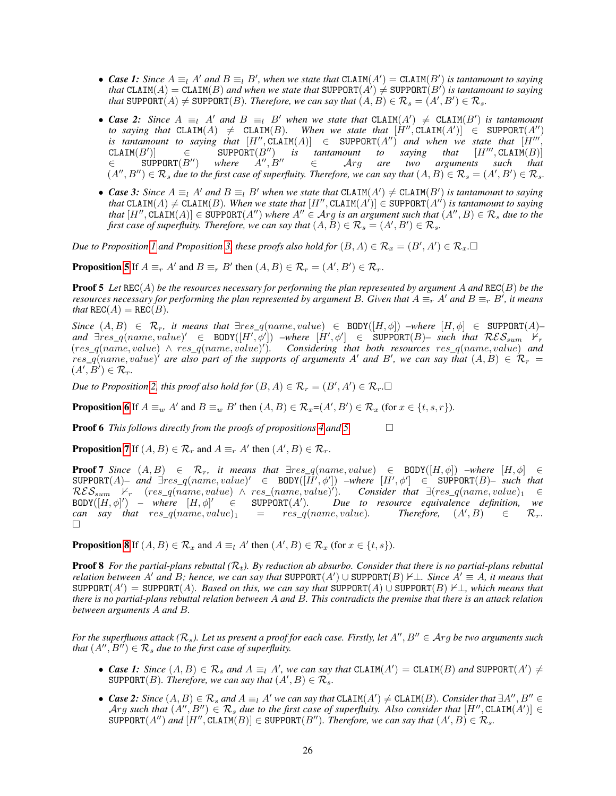- *Case 1: Since*  $A \equiv_l A'$  *and*  $B \equiv_l B'$ , *when we state that* CLAIM( $A'$ ) = CLAIM( $B'$ ) *is tantamount to saying*  $that$  CLAIM( $A$ ) = CLAIM( $B$ ) and when we state that SUPPORT( $A'$ )  $\neq$  SUPPORT( $B'$ ) is tantamount to saying *that*  $\text{SUPPORT}(A) \neq \text{SUPPORT}(B)$ *. Therefore, we can say that*  $(A, B) \in \mathcal{R}_s = (A', B') \in \mathcal{R}_s$ *.*
- Case 2: Since  $A \equiv_l A'$  and  $B \equiv_l B'$  when we state that  $CLAIM(A') \neq CLAIM(B')$  is tantamount *to saying that*  $CLAIM(A) \neq CLAIM(B)$ *. When we state that*  $[H'', CLAIM(A')] \in SUBPORT(A'')$ is tantamount to saying that  $[H'',\text{CLAIM}(A)] \in \text{SUPPORT}(A'')$  and when we state that  $[H''',$  $CLAIM(B')] \in$ <br>  $\in$  SUPPORT(B'')  $\in$  SUPPORT( $B''$ ) is tantamount to saying that  $B''$ ) where  $A''$ ,  $B''$   $\in$  Arg are two argument  $[H''',\mathtt{CLAIM}(B)]$ ∈ SUPPORT $(B'')$  where  $A'', B''$  ∈  $Arg$  are two arguments such that  $(A'', B'') \in \mathcal{R}_s$  due to the first case of superfluity. Therefore, we can say that  $(A, B) \in \mathcal{R}_s = (A', B') \in \mathcal{R}_s$ .
- *Case 3: Since*  $A \equiv_l A'$  *and*  $B \equiv_l B'$  *when we state that* CLAIM( $A'$ )  $\neq$  CLAIM( $B'$ ) *is tantamount to saying*  $that \text{CLAIM}(A) \neq \text{CLAIM}(B)$ . When we state that  $[H'', \text{CLAIM}(A')] \in \text{SUPPORT}(A'')$  is tantamount to saying  $that$   $[H'',$  CLAIM $(A)] \in$  SUPPORT $(A'')$  *where*  $A'' \in \mathcal{A}$ rg *is an argument such that*  $(A'', B) \in \mathcal{R}_s$  *due to the first case of superfluity. Therefore, we can say that*  $(A, B) \in \mathcal{R}_s = (A', B') \in \mathcal{R}_s$ .

*Due to Proposition [1](#page-8-2) and Proposition [3,](#page-11-4) these proofs also hold for*  $(B, A) \in \mathcal{R}_x = (B', A') \in \mathcal{R}_x$ .

**Proposition [5](#page-12-2)** If  $A \equiv_r A'$  and  $B \equiv_r B'$  then  $(A, B) \in \mathcal{R}_r = (A', B') \in \mathcal{R}_r$ .

Proof 5 *Let* REC(A) *be the resources necessary for performing the plan represented by argument* A *and* REC(B) *be the resources necessary for performing the plan represented by argument* B. Given that  $A \equiv_r A'$  and  $B \equiv_r B'$ , it means *that*  $\text{REC}(A) = \text{REC}(B)$ *.* 

*Since*  $(A, B) \in \mathcal{R}_r$ , it means that  $\exists res\_q(name, value) \in BODY([H, \phi])$  –where  $[H, \phi] \in BUPORT(A)$ –  $and \exists res\_q(name, value)' \in BODY([H', \phi'])$  *–where*  $[H', \phi'] \in SUPPORT(B)$ *– such that*  $RES_{sum}$   $\forall_r$ (res*\_*q(name, value) ∧ res*\_*q(name, value) 0 )*. Considering that both resources* res*\_*q(name, value) *and*  $res\_q(name, value)'$  are also part of the supports of arguments A' and B', we can say that  $(A, B) \in \mathcal{R}_r =$  $(A', B') \in \mathcal{R}_r$ .

*Due to Proposition [2,](#page-10-0) this proof also hold for*  $(B, A) \in \mathcal{R}_r = (B', A') \in \mathcal{R}_r$ .

**Proposition [6](#page-12-3)** If  $A \equiv_w A'$  and  $B \equiv_w B'$  then  $(A, B) \in \mathcal{R}_x = (A', B') \in \mathcal{R}_x$  (for  $x \in \{t, s, r\}$ ).

Proof 6 *This follows directly from the proofs of propositions [4](#page-12-1) and [5.](#page-12-2)*

**Proposition [7](#page-12-4)** If  $(A, B) \in \mathcal{R}_r$  and  $A \equiv_r A'$  then  $(A', B) \in \mathcal{R}_r$ .

**Proof 7** Since  $(A, B) \in \mathcal{R}_r$ , it means that  $\exists res_q(name, value) \in BDDY([H, \phi])$  *–where*  $[H, \phi] \in$  $\texttt{SUPPORT}(A)$ – and  $\exists res\_q(name, value)' \in \texttt{BODY}([H', \phi'])$  –where  $[H', \phi'] \in \texttt{SUPPORT}(B)$ – such that  $\mathcal{RES}_{sum}$   $\forall r$  (res\_q(name, value)  $\land$  res\_(name, value)<sup>'</sup>). Consider that  $\exists (res\_q(name, value)_1 \in$  $\mathtt{BODY}([H,\phi]')$  – where  $[H,\phi]'$   $\in$   $\mathtt{SUPPORT}(A'')$ )*. Due to resource equivalence definition, we can* say that  $res_q(name, value)_1$  =  $res_q(name, value)$ *.* Therefore,  $(A', B) \in \mathcal{R}_r$ .  $\Box$ 

**Proposition [8](#page-12-5)** If  $(A, B) \in \mathcal{R}_x$  and  $A \equiv_l A'$  then  $(A', B) \in \mathcal{R}_x$  (for  $x \in \{t, s\}$ ).

**Proof 8** For the partial-plans rebuttal  $(R_t)$ . By reduction ab absurbo. Consider that there is no partial-plans rebuttal  $r$ elation between A' and B; hence, we can say that SUPPORT(A')  $\cup$  SUPPORT(B)  $\nvdash \bot$ . Since  $A' \equiv A$ , it means that  $\text{SUPPORT}(A') = \text{SUPPORT}(A)$ *. Based on this, we can say that*  $\text{SUPPORT}(A) \cup \text{SUPPORT}(B) \nvdash \bot$ *, which means that there is no partial-plans rebuttal relation between* A *and* B*. This contradicts the premise that there is an attack relation between arguments* A *and* B*.*

*For the superfluous attack* ( $\mathcal{R}_s$ ). Let us present a proof for each case. Firstly, let  $A''$ ,  $B'' \in \mathcal{A}$ rg be two arguments such *that*  $(A'', B'') \in \mathcal{R}_s$  *due to the first case of superfluity.* 

- *Case 1: Since*  $(A, B) \in \mathcal{R}_s$  *and*  $A \equiv_l A'$ , we can say that CLAIM $(A') = \text{CLAIM}(B)$  *and* SUPPORT $(A') \neq$ SUPPORT(*B*). Therefore, we can say that  $(A', B) \in \mathcal{R}_s$ .
- *Case 2: Since*  $(A, B) \in \mathcal{R}_s$  *and*  $A \equiv_l A'$  *we can say that* CLAIM $(A') \neq$  CLAIM $(B)$ *. Consider that*  $\exists A'', B'' \in$  $Arg$  such that  $(A'', B'') \in \mathcal{R}_s$  due to the first case of superfluity. Also consider that  $[H'', CLAIM(A')] \in$  $\text{SUPPORT}(A'')$  and  $[H'', \text{CLAIN}(B)] \in \text{SUPPORT}(B'')$ . Therefore, we can say that  $(A', B) \in \mathcal{R}_s$ .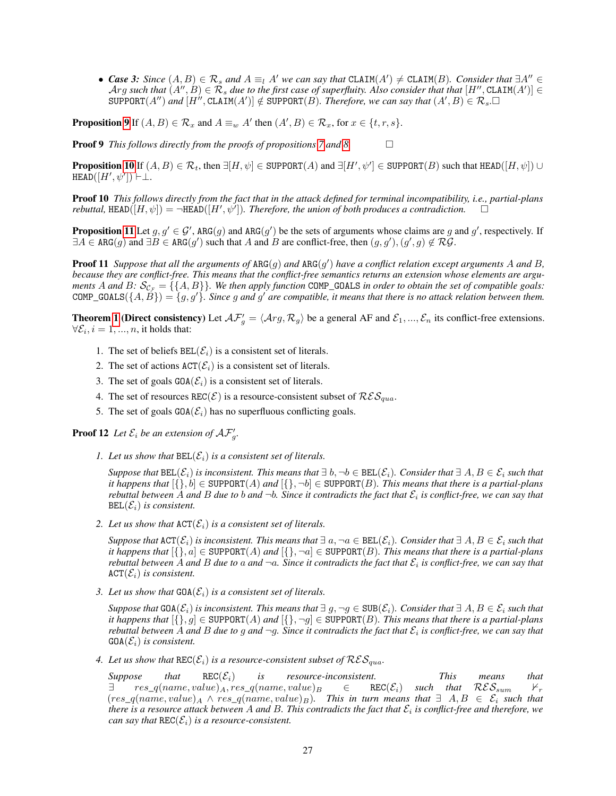• *Case 3: Since*  $(A, B) \in \mathcal{R}_s$  *and*  $A \equiv_l A'$  *we can say that* CLAIM $(A') \neq$  CLAIM $(B)$ *. Consider that*  $\exists A'' \in$  $Arg$  such that  $(A'',B)\in \mathcal{R}_s$  due to the first case of superfluity. Also consider that that  $[H'',\mathtt{CLAIM}(A')]\in \mathcal{R}_s$  $\mathsf{SUPPORT}(A'')$  and  $[H''', \mathsf{CLAIM}(A')] \notin \mathsf{SUPPORT}(B)$ . Therefore, we can say that  $(A', B) \in \mathcal{R}_s$ .

**Proposition [9](#page-12-6)** If  $(A, B) \in \mathcal{R}_x$  and  $A \equiv_w A'$  then  $(A', B) \in \mathcal{R}_x$ , for  $x \in \{t, r, s\}$ .

Proof 9 *This follows directly from the proofs of propositions [7](#page-12-4) and [8.](#page-12-5)*

**Proposition [10](#page-12-7)** If  $(A, B) \in \mathcal{R}_t$ , then  $\exists [H, \psi] \in \text{SUPPORT}(A)$  and  $\exists [H', \psi'] \in \text{SUPPORT}(B)$  such that  $\text{HEAD}([H, \psi]) \cup$  $\mathtt{HEAD}([H',\psi']) \vdash \dot\bot.$ 

Proof 10 *This follows directly from the fact that in the attack defined for terminal incompatibility, i.e., partial-plans*  $I$ rebuttal,  $\text{HEAD}([H, \psi]) = \text{THEAD}([H', \psi'])$ . Therefore, the union of both produces a contradiction.

**Proposition [11](#page-17-1)** Let  $g, g' \in \mathcal{G}'$ , ARG $(g)$  and ARG $(g')$  be the sets of arguments whose claims are g and g', respectively. If  $\exists A \in \text{ARG}(g)$  and  $\exists B \in \text{ARG}(g')$  such that A and B are conflict-free, then  $(g, g'), (g', g) \notin \mathcal{R}\mathcal{G}$ .

**Proof 11** Suppose that all the arguments of  $\texttt{ARG}(g)$  and  $\texttt{ARG}(g')$  have a conflict relation except arguments A and B, *because they are conflict-free. This means that the conflict-free semantics returns an extension whose elements are arguments* A and B:  $\mathcal{S}_{\mathcal{C}_{\mathcal{F}}} = \{ \{A, B\} \}$ . We then apply function COMP\_GOALS in order to obtain the set of compatible goals:  $\texttt{COMP\_GOLLS}(\{A, B\}) = \{g, g'\}.$  Since g and g' are compatible, it means that there is no attack relation between them.

**Theorem [1](#page-20-1) (Direct consistency)** Let  $\mathcal{AF}_g' = \langle \mathcal{A}rg, \mathcal{R}_g \rangle$  be a general AF and  $\mathcal{E}_1, ..., \mathcal{E}_n$  its conflict-free extensions.  $\forall \mathcal{E}_i, i = 1, ..., n$ , it holds that:

- 1. The set of beliefs  $BEL(\mathcal{E}_i)$  is a consistent set of literals.
- 2. The set of actions  $\text{ACT}(\mathcal{E}_i)$  is a consistent set of literals.
- 3. The set of goals  $GOA(\mathcal{E}_i)$  is a consistent set of literals.
- 4. The set of resources REC( $\mathcal{E}$ ) is a resource-consistent subset of  $\mathcal{RES}_{qua}$ .
- 5. The set of goals  $GDA(\mathcal{E}_i)$  has no superfluous conflicting goals.

**Proof 12** Let  $\mathcal{E}_i$  be an extension of  $\mathcal{AF}'_g$ .

*1. Let us show that*  $BEL(\mathcal{E}_i)$  *is a consistent set of literals.* 

*Suppose that*  $BEL(\mathcal{E}_i)$  *is inconsistent. This means that*  $\exists b, \neg b \in BEL(\mathcal{E}_i)$ *. Consider that*  $\exists A, B \in \mathcal{E}_i$  *such that it happens that*  $[\{\}, b] \in \text{SUPPORT}(A)$  *and*  $[\{\}, \neg b] \in \text{SUPPORT}(B)$ *. This means that there is a partial-plans* rebuttal between A and B due to  $b$  and  $\neg b$ . Since it contradicts the fact that  $\mathcal{E}_i$  is conflict-free, we can say that  $BEL(\mathcal{E}_i)$  *is consistent.* 

2. Let us show that  $\text{ACT}(\mathcal{E}_i)$  *is a consistent set of literals.* 

*Suppose that*  $\text{ACT}(\mathcal{E}_i)$  *is inconsistent. This means that*  $\exists a, \neg a \in \text{BEL}(\mathcal{E}_i)$ *. Consider that*  $\exists A, B \in \mathcal{E}_i$  such that *it happens that*  $[\{\},a] \in \text{SUPPORT}(A)$  *and*  $[\{\},\neg a] \in \text{SUPPORT}(B)$ *. This means that there is a partial-plans rebuttal between A and B due to a and*  $\neg a$ . Since it contradicts the fact that  $\mathcal{E}_i$  is conflict-free, we can say that  $ACT(\mathcal{E}_i)$  *is consistent.* 

*3. Let us show that*  $GOA(\mathcal{E}_i)$  *is a consistent set of literals.* 

*Suppose that*  $GCA(\mathcal{E}_i)$  *is inconsistent. This means that*  $\exists g, \neg g \in SUB(\mathcal{E}_i)$ *. Consider that*  $\exists A, B \in \mathcal{E}_i$  *such that it happens that*  $[\{\}, g] \in \text{SUPPORT}(A)$  *and*  $[\{\}, \neg g] \in \text{SUPPORT}(B)$ *. This means that there is a partial-plans rebuttal between A and B due to g and*  $\neg g$ . Since it contradicts the fact that  $\mathcal{E}_i$  is conflict-free, we can say that  $GOA(\mathcal{E}_i)$  *is consistent.* 

4. Let us show that  $\text{REC}(\mathcal{E}_i)$  is a resource-consistent subset of  $\mathcal{RES}_{qua}$ .

*Suppose* that  $\text{REC}(\mathcal{E}_i)$  *is resource-inconsistent.* This means that  $\exists$  res\_q(name, value)<sub>A</sub>, res\_q(name, value)<sub>B</sub>  $\in$  REC( $\mathcal{E}_i$ ) such that  $\mathcal{RES}_{sum}$   $\forall_r$  $res_q(name, value)_A, res_q(name, value)_B$   $\in$  $(res_q(name, value)_A \wedge res_q(name, value)_B)$ . This in turn means that  $\exists A, B \in \mathcal{E}_i$  such that there is a resource attack between A and B. This contradicts the fact that  $\mathcal{E}_i$  is conflict-free and therefore, we *can say that*  $\text{REC}(\mathcal{E}_i)$  *is a resource-consistent.*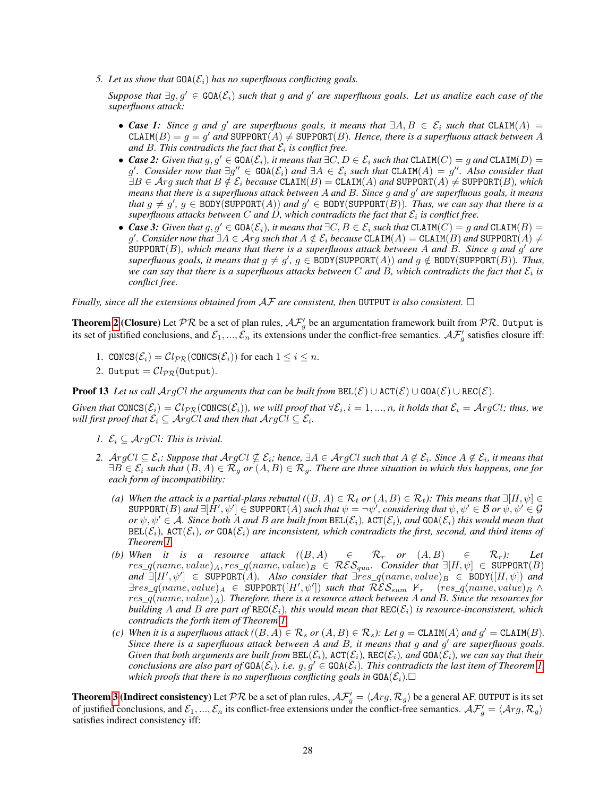5. Let us show that  $GOA(\mathcal{E}_i)$  has no superfluous conflicting goals.

 $Suppose that \ \exists g, g' \in \text{GOA}(\mathcal{E}_i)$  such that g and g' are superfluous goals. Let us analize each case of the *superfluous attack:*

- **Case 1:** Since g and g' are superfluous goals, it means that  $\exists A, B \in \mathcal{E}_i$  such that CLAIM(A) =  $CLAIN(B) = g = g'$  and  $SUPPORT(A) \neq SUPPORT(B)$ *. Hence, there is a superfluous attack between* A and  $B$ . This contradicts the fact that  $\mathcal{E}_i$  is conflict free.
- *Case 2: Given that*  $g, g' \in \text{GOA}(\mathcal{E}_i)$ *, it means that*  $\exists C, D \in \mathcal{E}_i$  *such that* CLAIM $(C) = g$  *and* CLAIM $(D) = g$  $g'$ . Consider now that  $\exists g'' \in \text{GOA}(\mathcal{E}_i)$  and  $\exists A \in \mathcal{E}_i$  such that CLAIM(A) =  $g''$ . Also consider that  $\exists B \in \mathcal{A}$ rg such that  $B \notin \mathcal{E}_i$  because  $CLAIM(B) = CLAIN(A)$  and  $SUPPORT(A) \neq SUPPORT(B)$ *, which means that there is a superfluous attack between* A *and* B*. Since* g *and* g <sup>0</sup> *are superfluous goals, it means that*  $g \neq g'$ ,  $g \in \text{BODY}(\text{SUPPORT}(A))$  *and*  $g' \in \text{BODY}(\text{SUPPORT}(B))$ *. Thus, we can say that there is a* superfluous attacks between  $C$  and  $D$ , which contradicts the fact that  $\mathcal{E}_i$  is conflict free.
- *Case 3: Given that*  $g, g' \in \text{GOA}(\mathcal{E}_i)$ *, it means that*  $\exists C, B \in \mathcal{E}_i$  *such that* CLAIM $(C) = g$  *and* CLAIM $(B) = g$  $g'$ . Consider now that  $\exists A \in \mathcal{A}$ rg such that  $A \notin \mathcal{E}_i$  because CLAIM(A) = CLAIM(B) and SUPPORT(A) ≠  $S$ UPPORT $(B)$ , which means that there is a superfluous attack between A and B. Since g and g' are  $superfluous$  goals, it means that  $g \neq g'$ ,  $g \in \overline{BODY}(SUPPORT(A))$  and  $g \notin BODY(SUPPORT(B))$ . Thus, we can say that there is a superfluous attacks between  $C$  and  $B$ , which contradicts the fact that  $\mathcal{E}_i$  is *conflict free.*

*Finally, since all the extensions obtained from* AF *are consistent, then* OUTPUT *is also consistent.*

**Theorem [2](#page-20-2) (Closure)** Let  $PR$  be a set of plan rules,  $AT'_g$  be an argumentation framework built from  $PR$ . Output is its set of justified conclusions, and  $\mathcal{E}_1, ..., \mathcal{E}_n$  its extensions under the conflict-free semantics.  $\mathcal{AF}_g'$  satisfies closure iff:

- 1. CONCS $(\mathcal{E}_i) = \mathcal{C}l_{\mathcal{PR}}(\text{CONCS}(\mathcal{E}_i))$  for each  $1 \leq i \leq n$ .
- 2. Output =  $Cl_{PR}$ (Output).

**Proof 13** *Let us call*  $ArgCl$  *the arguments that can be built from*  $BEL(\mathcal{E}) \cup ACT(\mathcal{E}) \cup GOA(\mathcal{E}) \cup REC(\mathcal{E})$ *.* 

 $Given that \text{ CONCS}(\mathcal{E}_i) = \mathcal{C}l_{\mathcal{PR}}(\text{CONCS}(\mathcal{E}_i))$ , we will proof that  $\forall \mathcal{E}_i, i = 1, ..., n$ , it holds that  $\mathcal{E}_i = \mathcal{A}rgCl$ ; thus, we will first proof that  $\mathcal{E}_i \subseteq \mathcal{A}$ rgCl and then that  $\mathcal{A}rgCl \subseteq \mathcal{E}_i$ .

- *1.*  $\mathcal{E}_i \subset \mathcal{A} \cap \mathcal{C}$ *l: This is trivial.*
- $2.$   $ArgCl \subseteq \mathcal{E}_i$ : Suppose that  $ArgCl \nsubseteq \mathcal{E}_i$ ; hence,  $\exists A \in ArgCl$  such that  $A \not\in \mathcal{E}_i$ . Since  $A \not\in \mathcal{E}_i$ , it means that  $\exists B \in \mathcal{E}_i$  such that  $(B, A) \in \mathcal{R}_g$  or  $(A, B) \in \mathcal{R}_g$ . There are three situation in which this happens, one for *each form of incompatibility:*
	- *(a)* When the attack is a partial-plans rebuttal  $((B, A) \in \mathcal{R}_t$  or  $(A, B) \in \mathcal{R}_t$ ): This means that  $\exists [H, \psi] \in$  $\texttt{SUPPORT}(B)$  and  $\exists [\hat{H}', \psi'] \in \texttt{SUPPORT}(A)$  such that  $\psi = \neg \psi'$ , considering that  $\psi, \psi' \in \mathcal{B}$  or  $\psi, \psi' \in \mathcal{G}$ *or*  $\psi, \psi \in \mathcal{A}$ *. Since both* A *and* B are built from  $BEL(\mathcal{E}_i)$ ,  $ACT(\mathcal{E}_i)$ *, and*  $GOA(\mathcal{E}_i)$  *this would mean that*  $BEL(\mathcal{E}_i)$ ,  $ACT(\mathcal{E}_i)$ *, or*  $GOA(\mathcal{E}_i)$  *are inconsistent, which contradicts the first, second, and third items of Theorem [1.](#page-20-1)*
	- *(b)* When it is a resource attack  $((B, A) \in \mathcal{R}_r$  or  $(A, B) \in \mathcal{R}_r$ ): Let  $res\_q(name, value)_{A}, res\_q(name, value)_{B} \in \mathcal{RES}_{qua}.$  Consider that  $\exists [H, \psi] \in \text{SUPPORT}(B)$  $and \ \exists [H', \psi'] \in \text{ SUPPORT}(\overline{A})$ *. Also consider that*  $\exists res\_q(name, value)_B \in \text{ BODY}([H, \psi])$  and  $\exists res\_q(name, value)_{A} \in \text{SUPPORT}([H', \psi'])$  such that  $\overline{RES}_{sum}$   $\forall_{r}$  (res\_q(name, value)<sub>B</sub>  $\wedge$  $res_{q}(name, value)$ <sup>1</sup>). Therefore, there is a resource attack between A and B. Since the resources for *building* A and B are part of  $\text{REC}(\mathcal{E}_i)$ , this would mean that  $\text{REC}(\mathcal{E}_i)$  is resource-inconsistent, which *contradicts the forth item of Theorem [1.](#page-20-1)*
	- *(c)* When it is a superfluous attack  $((B, A) \in \mathcal{R}_s$  or  $(A, B) \in \mathcal{R}_s$ ): Let  $g = \text{CLAIM}(A)$  and  $g' = \text{CLAIM}(B)$ . *Since there is a superfluous attack between* A *and* B*, it means that* g *and* g <sup>0</sup> *are superfluous goals. Given that both arguments are built from*  $BEL(\mathcal{E}_i)$ ,  $ACT(\mathcal{E}_i)$ ,  $Rec(\mathcal{E}_i)$ *, and*  $GOA(\mathcal{E}_i)$ *, we can say that their conclusions are also part of*  $GOA(\mathcal{E}_i)$ *, i.e.*  $g, g' \in GOA(\mathcal{E}_i)$ *. This contradicts the last item of Theorem [1,](#page-20-1) which proofs that there is no superfluous conflicting goals in*  $GDA(\mathcal{E}_i)$ .

**Theorem [3](#page-20-3) (Indirect consistency)** Let  $\cal PR$  be a set of plan rules,  $\cal AF_g'=\langle\cal Arg,R_g\rangle$  be a general AF. OUTPUT is its set of justified conclusions, and  $\mathcal{E}_1, ..., \mathcal{E}_n$  its conflict-free extensions under the conflict-free semantics.  $\mathcal{AF}_g' = \langle \mathcal{A}rg, \mathcal{R}_g \rangle$ satisfies indirect consistency iff: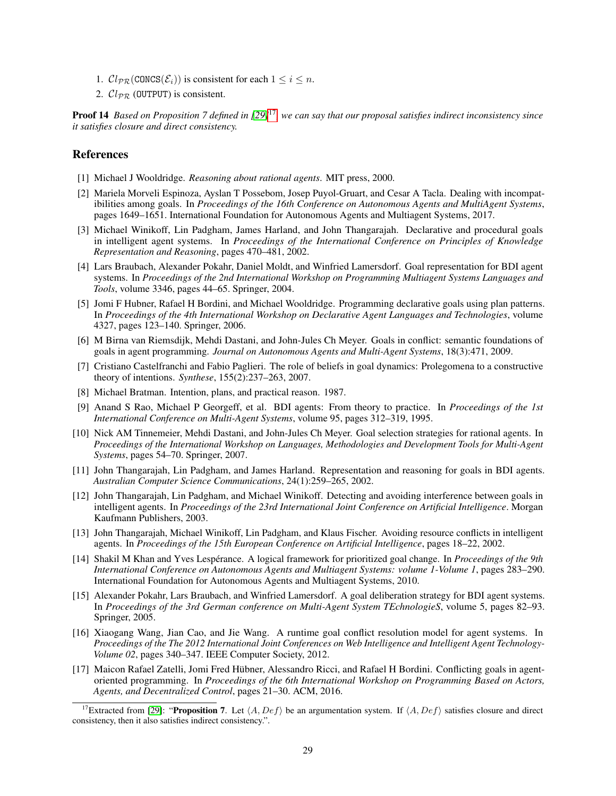- 1.  $Cl_{PR}(CONCS(\mathcal{E}_i))$  is consistent for each  $1 \leq i \leq n$ .
- 2.  $Cl_{PR}$  (OUTPUT) is consistent.

Proof 14 *Based on Proposition 7 defined in [\[29\]](#page-29-11)*<sup>[17](#page-28-17)</sup>, we can say that our proposal satisfies indirect inconsistency since *it satisfies closure and direct consistency.*

# References

- <span id="page-28-0"></span>[1] Michael J Wooldridge. *Reasoning about rational agents*. MIT press, 2000.
- <span id="page-28-4"></span>[2] Mariela Morveli Espinoza, Ayslan T Possebom, Josep Puyol-Gruart, and Cesar A Tacla. Dealing with incompatibilities among goals. In *Proceedings of the 16th Conference on Autonomous Agents and MultiAgent Systems*, pages 1649–1651. International Foundation for Autonomous Agents and Multiagent Systems, 2017.
- <span id="page-28-1"></span>[3] Michael Winikoff, Lin Padgham, James Harland, and John Thangarajah. Declarative and procedural goals in intelligent agent systems. In *Proceedings of the International Conference on Principles of Knowledge Representation and Reasoning*, pages 470–481, 2002.
- <span id="page-28-5"></span>[4] Lars Braubach, Alexander Pokahr, Daniel Moldt, and Winfried Lamersdorf. Goal representation for BDI agent systems. In *Proceedings of the 2nd International Workshop on Programming Multiagent Systems Languages and Tools*, volume 3346, pages 44–65. Springer, 2004.
- <span id="page-28-6"></span>[5] Jomi F Hubner, Rafael H Bordini, and Michael Wooldridge. Programming declarative goals using plan patterns. In *Proceedings of the 4th International Workshop on Declarative Agent Languages and Technologies*, volume 4327, pages 123–140. Springer, 2006.
- <span id="page-28-2"></span>[6] M Birna van Riemsdijk, Mehdi Dastani, and John-Jules Ch Meyer. Goals in conflict: semantic foundations of goals in agent programming. *Journal on Autonomous Agents and Multi-Agent Systems*, 18(3):471, 2009.
- <span id="page-28-3"></span>[7] Cristiano Castelfranchi and Fabio Paglieri. The role of beliefs in goal dynamics: Prolegomena to a constructive theory of intentions. *Synthese*, 155(2):237–263, 2007.
- <span id="page-28-15"></span>[8] Michael Bratman. Intention, plans, and practical reason. 1987.
- <span id="page-28-16"></span>[9] Anand S Rao, Michael P Georgeff, et al. BDI agents: From theory to practice. In *Proceedings of the 1st International Conference on Multi-Agent Systems*, volume 95, pages 312–319, 1995.
- <span id="page-28-7"></span>[10] Nick AM Tinnemeier, Mehdi Dastani, and John-Jules Ch Meyer. Goal selection strategies for rational agents. In *Proceedings of the International Workshop on Languages, Methodologies and Development Tools for Multi-Agent Systems*, pages 54–70. Springer, 2007.
- <span id="page-28-8"></span>[11] John Thangarajah, Lin Padgham, and James Harland. Representation and reasoning for goals in BDI agents. *Australian Computer Science Communications*, 24(1):259–265, 2002.
- <span id="page-28-9"></span>[12] John Thangarajah, Lin Padgham, and Michael Winikoff. Detecting and avoiding interference between goals in intelligent agents. In *Proceedings of the 23rd International Joint Conference on Artificial Intelligence*. Morgan Kaufmann Publishers, 2003.
- <span id="page-28-10"></span>[13] John Thangarajah, Michael Winikoff, Lin Padgham, and Klaus Fischer. Avoiding resource conflicts in intelligent agents. In *Proceedings of the 15th European Conference on Artificial Intelligence*, pages 18–22, 2002.
- <span id="page-28-11"></span>[14] Shakil M Khan and Yves Lespérance. A logical framework for prioritized goal change. In *Proceedings of the 9th International Conference on Autonomous Agents and Multiagent Systems: volume 1-Volume 1*, pages 283–290. International Foundation for Autonomous Agents and Multiagent Systems, 2010.
- <span id="page-28-12"></span>[15] Alexander Pokahr, Lars Braubach, and Winfried Lamersdorf. A goal deliberation strategy for BDI agent systems. In *Proceedings of the 3rd German conference on Multi-Agent System TEchnologieS*, volume 5, pages 82–93. Springer, 2005.
- <span id="page-28-13"></span>[16] Xiaogang Wang, Jian Cao, and Jie Wang. A runtime goal conflict resolution model for agent systems. In *Proceedings of the The 2012 International Joint Conferences on Web Intelligence and Intelligent Agent Technology-Volume 02*, pages 340–347. IEEE Computer Society, 2012.
- <span id="page-28-14"></span>[17] Maicon Rafael Zatelli, Jomi Fred Hübner, Alessandro Ricci, and Rafael H Bordini. Conflicting goals in agentoriented programming. In *Proceedings of the 6th International Workshop on Programming Based on Actors, Agents, and Decentralized Control*, pages 21–30. ACM, 2016.

<span id="page-28-17"></span><sup>&</sup>lt;sup>17</sup>Extracted from [\[29\]](#page-29-11): "**Proposition 7.** Let  $\langle A, Def \rangle$  be an argumentation system. If  $\langle A, Def \rangle$  satisfies closure and direct consistency, then it also satisfies indirect consistency.".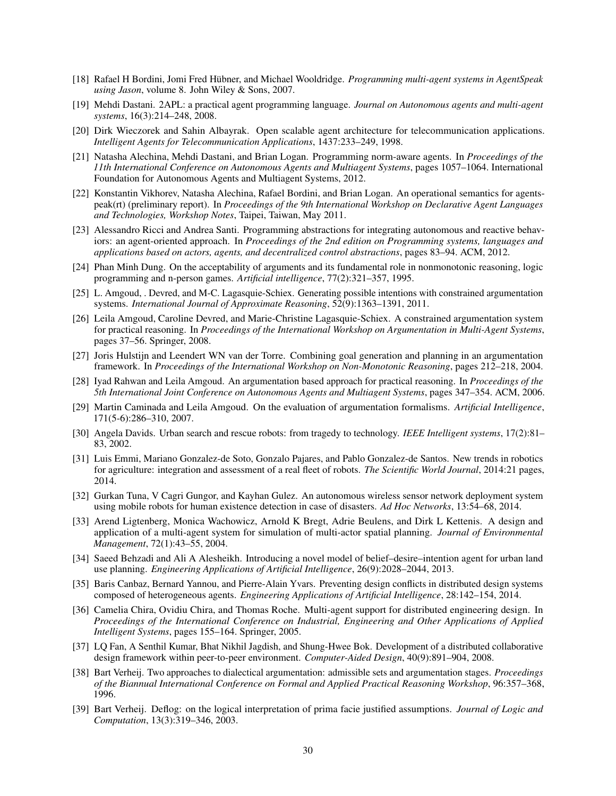- <span id="page-29-0"></span>[18] Rafael H Bordini, Jomi Fred Hübner, and Michael Wooldridge. *Programming multi-agent systems in AgentSpeak using Jason*, volume 8. John Wiley & Sons, 2007.
- <span id="page-29-1"></span>[19] Mehdi Dastani. 2APL: a practical agent programming language. *Journal on Autonomous agents and multi-agent systems*, 16(3):214–248, 2008.
- <span id="page-29-2"></span>[20] Dirk Wieczorek and Sahin Albayrak. Open scalable agent architecture for telecommunication applications. *Intelligent Agents for Telecommunication Applications*, 1437:233–249, 1998.
- <span id="page-29-3"></span>[21] Natasha Alechina, Mehdi Dastani, and Brian Logan. Programming norm-aware agents. In *Proceedings of the 11th International Conference on Autonomous Agents and Multiagent Systems*, pages 1057–1064. International Foundation for Autonomous Agents and Multiagent Systems, 2012.
- <span id="page-29-4"></span>[22] Konstantin Vikhorev, Natasha Alechina, Rafael Bordini, and Brian Logan. An operational semantics for agentspeak(rt) (preliminary report). In *Proceedings of the 9th International Workshop on Declarative Agent Languages and Technologies, Workshop Notes*, Taipei, Taiwan, May 2011.
- <span id="page-29-5"></span>[23] Alessandro Ricci and Andrea Santi. Programming abstractions for integrating autonomous and reactive behaviors: an agent-oriented approach. In *Proceedings of the 2nd edition on Programming systems, languages and applications based on actors, agents, and decentralized control abstractions*, pages 83–94. ACM, 2012.
- <span id="page-29-6"></span>[24] Phan Minh Dung. On the acceptability of arguments and its fundamental role in nonmonotonic reasoning, logic programming and n-person games. *Artificial intelligence*, 77(2):321–357, 1995.
- <span id="page-29-7"></span>[25] L. Amgoud, . Devred, and M-C. Lagasquie-Schiex. Generating possible intentions with constrained argumentation systems. *International Journal of Approximate Reasoning*, 52(9):1363–1391, 2011.
- <span id="page-29-8"></span>[26] Leila Amgoud, Caroline Devred, and Marie-Christine Lagasquie-Schiex. A constrained argumentation system for practical reasoning. In *Proceedings of the International Workshop on Argumentation in Multi-Agent Systems*, pages 37–56. Springer, 2008.
- <span id="page-29-9"></span>[27] Joris Hulstijn and Leendert WN van der Torre. Combining goal generation and planning in an argumentation framework. In *Proceedings of the International Workshop on Non-Monotonic Reasoning*, pages 212–218, 2004.
- <span id="page-29-10"></span>[28] Iyad Rahwan and Leila Amgoud. An argumentation based approach for practical reasoning. In *Proceedings of the 5th International Joint Conference on Autonomous Agents and Multiagent Systems*, pages 347–354. ACM, 2006.
- <span id="page-29-11"></span>[29] Martin Caminada and Leila Amgoud. On the evaluation of argumentation formalisms. *Artificial Intelligence*, 171(5-6):286–310, 2007.
- <span id="page-29-12"></span>[30] Angela Davids. Urban search and rescue robots: from tragedy to technology. *IEEE Intelligent systems*, 17(2):81– 83, 2002.
- <span id="page-29-13"></span>[31] Luis Emmi, Mariano Gonzalez-de Soto, Gonzalo Pajares, and Pablo Gonzalez-de Santos. New trends in robotics for agriculture: integration and assessment of a real fleet of robots. *The Scientific World Journal*, 2014:21 pages, 2014.
- <span id="page-29-14"></span>[32] Gurkan Tuna, V Cagri Gungor, and Kayhan Gulez. An autonomous wireless sensor network deployment system using mobile robots for human existence detection in case of disasters. *Ad Hoc Networks*, 13:54–68, 2014.
- <span id="page-29-15"></span>[33] Arend Ligtenberg, Monica Wachowicz, Arnold K Bregt, Adrie Beulens, and Dirk L Kettenis. A design and application of a multi-agent system for simulation of multi-actor spatial planning. *Journal of Environmental Management*, 72(1):43–55, 2004.
- <span id="page-29-16"></span>[34] Saeed Behzadi and Ali A Alesheikh. Introducing a novel model of belief–desire–intention agent for urban land use planning. *Engineering Applications of Artificial Intelligence*, 26(9):2028–2044, 2013.
- <span id="page-29-17"></span>[35] Baris Canbaz, Bernard Yannou, and Pierre-Alain Yvars. Preventing design conflicts in distributed design systems composed of heterogeneous agents. *Engineering Applications of Artificial Intelligence*, 28:142–154, 2014.
- <span id="page-29-18"></span>[36] Camelia Chira, Ovidiu Chira, and Thomas Roche. Multi-agent support for distributed engineering design. In *Proceedings of the International Conference on Industrial, Engineering and Other Applications of Applied Intelligent Systems*, pages 155–164. Springer, 2005.
- <span id="page-29-19"></span>[37] LQ Fan, A Senthil Kumar, Bhat Nikhil Jagdish, and Shung-Hwee Bok. Development of a distributed collaborative design framework within peer-to-peer environment. *Computer-Aided Design*, 40(9):891–904, 2008.
- <span id="page-29-20"></span>[38] Bart Verheij. Two approaches to dialectical argumentation: admissible sets and argumentation stages. *Proceedings of the Biannual International Conference on Formal and Applied Practical Reasoning Workshop*, 96:357–368, 1996.
- <span id="page-29-21"></span>[39] Bart Verheij. Deflog: on the logical interpretation of prima facie justified assumptions. *Journal of Logic and Computation*, 13(3):319–346, 2003.